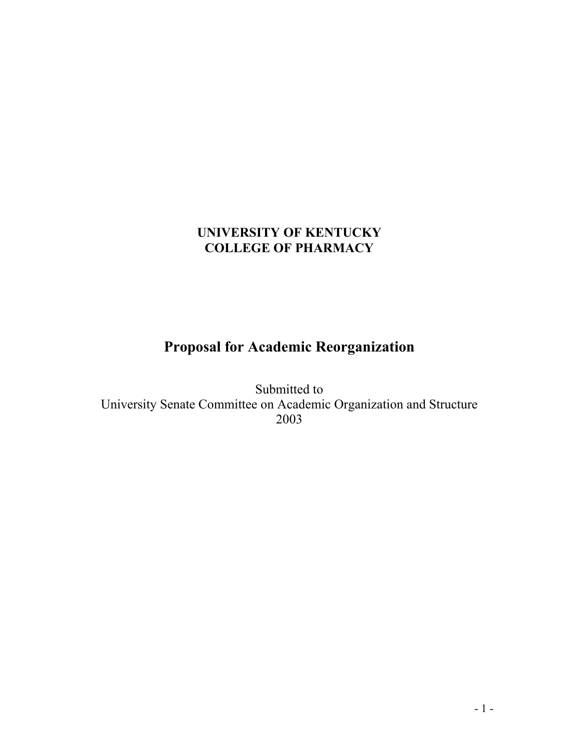# **Proposal for Academic Reorganization**

Submitted to University Senate Committee on Academic Organization and Structure 2003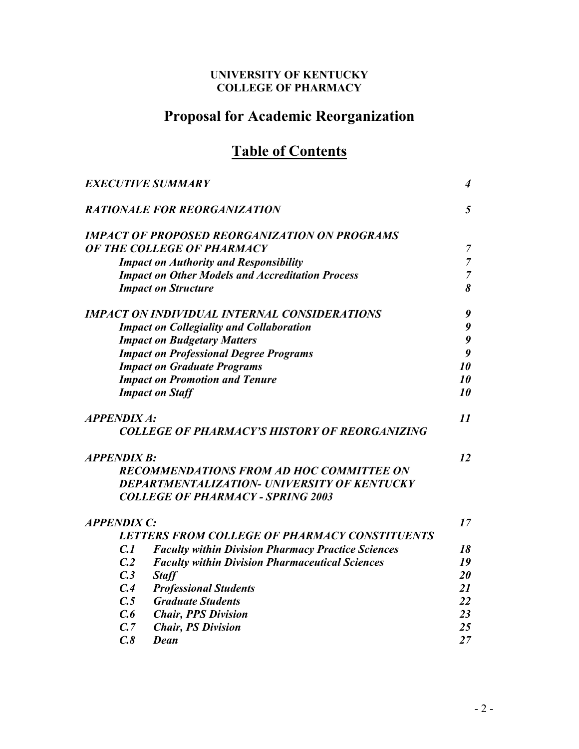# **Proposal for Academic Reorganization**

# **Table of Contents**

|                    | <b>EXECUTIVE SUMMARY</b>                                  | 4              |
|--------------------|-----------------------------------------------------------|----------------|
|                    | <b>RATIONALE FOR REORGANIZATION</b>                       | 5              |
|                    | <b>IMPACT OF PROPOSED REORGANIZATION ON PROGRAMS</b>      |                |
|                    | OF THE COLLEGE OF PHARMACY                                | 7              |
|                    | <b>Impact on Authority and Responsibility</b>             | $\overline{7}$ |
|                    | <b>Impact on Other Models and Accreditation Process</b>   | $\overline{7}$ |
|                    | <b>Impact on Structure</b>                                | 8              |
|                    | <b>IMPACT ON INDIVIDUAL INTERNAL CONSIDERATIONS</b>       | 9              |
|                    | <b>Impact on Collegiality and Collaboration</b>           | 9              |
|                    | <b>Impact on Budgetary Matters</b>                        | 9              |
|                    | <b>Impact on Professional Degree Programs</b>             | 9              |
|                    | <b>Impact on Graduate Programs</b>                        | 10             |
|                    | <b>Impact on Promotion and Tenure</b>                     | 10             |
|                    | <b>Impact on Staff</b>                                    | 10             |
| <b>APPENDIX A:</b> |                                                           | 11             |
|                    | <b>COLLEGE OF PHARMACY'S HISTORY OF REORGANIZING</b>      |                |
| <b>APPENDIX B:</b> |                                                           | 12             |
|                    | <b>RECOMMENDATIONS FROM AD HOC COMMITTEE ON</b>           |                |
|                    | DEPARTMENTALIZATION- UNIVERSITY OF KENTUCKY               |                |
|                    | <b>COLLEGE OF PHARMACY - SPRING 2003</b>                  |                |
| <b>APPENDIX C:</b> |                                                           | 17             |
|                    | LETTERS FROM COLLEGE OF PHARMACY CONSTITUENTS             |                |
| C.1                | <b>Faculty within Division Pharmacy Practice Sciences</b> | 18             |
| C <sub>2</sub>     | <b>Faculty within Division Pharmaceutical Sciences</b>    | 19             |
| C.3                | <b>Staff</b>                                              | 20             |
| C.4                | <b>Professional Students</b>                              | 21             |
|                    | C.5 Graduate Students                                     | 22             |
| C.6                | <b>Chair, PPS Division</b>                                | 23             |
| C.7                | <b>Chair, PS Division</b>                                 | 25             |
| C.8                | <b>Dean</b>                                               | 27             |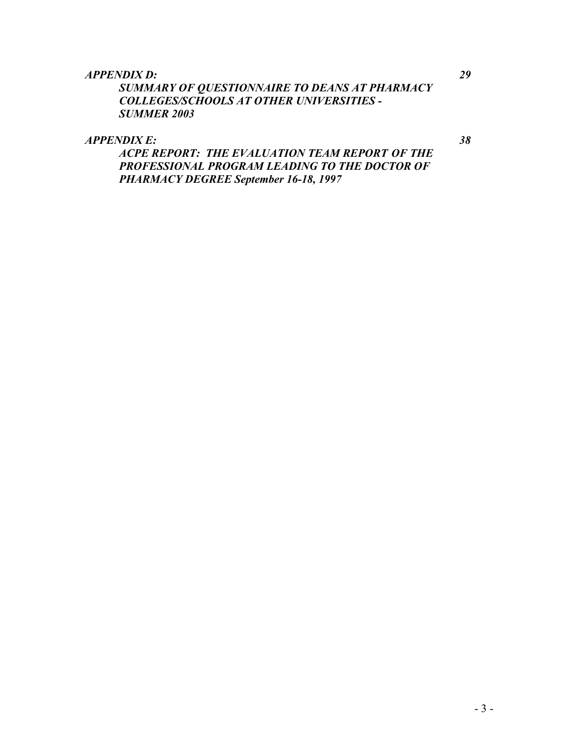#### *APPENDIX D: 29*

*SUMMARY OF QUESTIONNAIRE TO DEANS AT PHARMACY COLLEGES/SCHOOLS AT OTHER UNIVERSITIES - SUMMER 2003* 

*APPENDIX E: 38* 

*ACPE REPORT: THE EVALUATION TEAM REPORT OF THE PROFESSIONAL PROGRAM LEADING TO THE DOCTOR OF PHARMACY DEGREE September 16-18, 1997*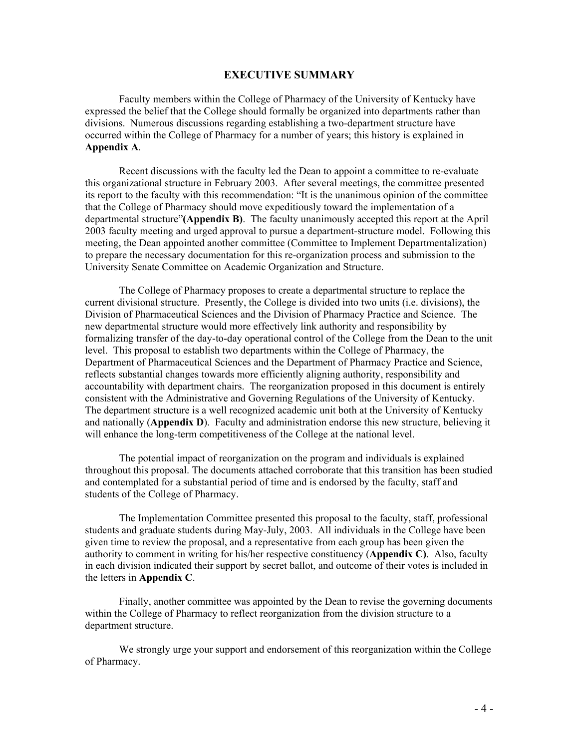#### **EXECUTIVE SUMMARY**

Faculty members within the College of Pharmacy of the University of Kentucky have expressed the belief that the College should formally be organized into departments rather than divisions. Numerous discussions regarding establishing a two-department structure have occurred within the College of Pharmacy for a number of years; this history is explained in **Appendix A**.

Recent discussions with the faculty led the Dean to appoint a committee to re-evaluate this organizational structure in February 2003. After several meetings, the committee presented its report to the faculty with this recommendation: "It is the unanimous opinion of the committee that the College of Pharmacy should move expeditiously toward the implementation of a departmental structure"**(Appendix B)**. The faculty unanimously accepted this report at the April 2003 faculty meeting and urged approval to pursue a department-structure model. Following this meeting, the Dean appointed another committee (Committee to Implement Departmentalization) to prepare the necessary documentation for this re-organization process and submission to the University Senate Committee on Academic Organization and Structure.

The College of Pharmacy proposes to create a departmental structure to replace the current divisional structure. Presently, the College is divided into two units (i.e. divisions), the Division of Pharmaceutical Sciences and the Division of Pharmacy Practice and Science. The new departmental structure would more effectively link authority and responsibility by formalizing transfer of the day-to-day operational control of the College from the Dean to the unit level. This proposal to establish two departments within the College of Pharmacy, the Department of Pharmaceutical Sciences and the Department of Pharmacy Practice and Science, reflects substantial changes towards more efficiently aligning authority, responsibility and accountability with department chairs. The reorganization proposed in this document is entirely consistent with the Administrative and Governing Regulations of the University of Kentucky. The department structure is a well recognized academic unit both at the University of Kentucky and nationally (**Appendix D**). Faculty and administration endorse this new structure, believing it will enhance the long-term competitiveness of the College at the national level.

The potential impact of reorganization on the program and individuals is explained throughout this proposal. The documents attached corroborate that this transition has been studied and contemplated for a substantial period of time and is endorsed by the faculty, staff and students of the College of Pharmacy.

The Implementation Committee presented this proposal to the faculty, staff, professional students and graduate students during May-July, 2003. All individuals in the College have been given time to review the proposal, and a representative from each group has been given the authority to comment in writing for his/her respective constituency (**Appendix C)**. Also, faculty in each division indicated their support by secret ballot, and outcome of their votes is included in the letters in **Appendix C**.

Finally, another committee was appointed by the Dean to revise the governing documents within the College of Pharmacy to reflect reorganization from the division structure to a department structure.

We strongly urge your support and endorsement of this reorganization within the College of Pharmacy.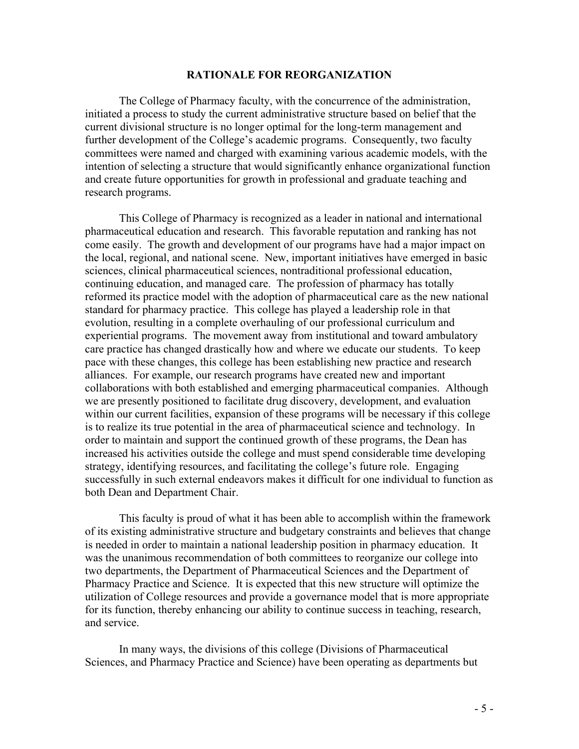#### **RATIONALE FOR REORGANIZATION**

The College of Pharmacy faculty, with the concurrence of the administration, initiated a process to study the current administrative structure based on belief that the current divisional structure is no longer optimal for the long-term management and further development of the College's academic programs. Consequently, two faculty committees were named and charged with examining various academic models, with the intention of selecting a structure that would significantly enhance organizational function and create future opportunities for growth in professional and graduate teaching and research programs.

This College of Pharmacy is recognized as a leader in national and international pharmaceutical education and research. This favorable reputation and ranking has not come easily. The growth and development of our programs have had a major impact on the local, regional, and national scene. New, important initiatives have emerged in basic sciences, clinical pharmaceutical sciences, nontraditional professional education, continuing education, and managed care. The profession of pharmacy has totally reformed its practice model with the adoption of pharmaceutical care as the new national standard for pharmacy practice. This college has played a leadership role in that evolution, resulting in a complete overhauling of our professional curriculum and experiential programs. The movement away from institutional and toward ambulatory care practice has changed drastically how and where we educate our students. To keep pace with these changes, this college has been establishing new practice and research alliances. For example, our research programs have created new and important collaborations with both established and emerging pharmaceutical companies. Although we are presently positioned to facilitate drug discovery, development, and evaluation within our current facilities, expansion of these programs will be necessary if this college is to realize its true potential in the area of pharmaceutical science and technology. In order to maintain and support the continued growth of these programs, the Dean has increased his activities outside the college and must spend considerable time developing strategy, identifying resources, and facilitating the college's future role. Engaging successfully in such external endeavors makes it difficult for one individual to function as both Dean and Department Chair.

This faculty is proud of what it has been able to accomplish within the framework of its existing administrative structure and budgetary constraints and believes that change is needed in order to maintain a national leadership position in pharmacy education. It was the unanimous recommendation of both committees to reorganize our college into two departments, the Department of Pharmaceutical Sciences and the Department of Pharmacy Practice and Science. It is expected that this new structure will optimize the utilization of College resources and provide a governance model that is more appropriate for its function, thereby enhancing our ability to continue success in teaching, research, and service.

 In many ways, the divisions of this college (Divisions of Pharmaceutical Sciences, and Pharmacy Practice and Science) have been operating as departments but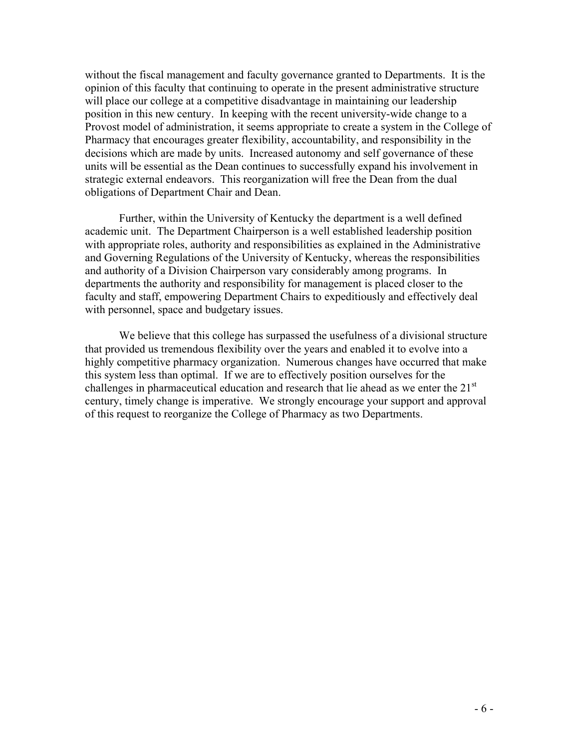without the fiscal management and faculty governance granted to Departments. It is the opinion of this faculty that continuing to operate in the present administrative structure will place our college at a competitive disadvantage in maintaining our leadership position in this new century. In keeping with the recent university-wide change to a Provost model of administration, it seems appropriate to create a system in the College of Pharmacy that encourages greater flexibility, accountability, and responsibility in the decisions which are made by units. Increased autonomy and self governance of these units will be essential as the Dean continues to successfully expand his involvement in strategic external endeavors. This reorganization will free the Dean from the dual obligations of Department Chair and Dean.

 Further, within the University of Kentucky the department is a well defined academic unit. The Department Chairperson is a well established leadership position with appropriate roles, authority and responsibilities as explained in the Administrative and Governing Regulations of the University of Kentucky, whereas the responsibilities and authority of a Division Chairperson vary considerably among programs. In departments the authority and responsibility for management is placed closer to the faculty and staff, empowering Department Chairs to expeditiously and effectively deal with personnel, space and budgetary issues.

We believe that this college has surpassed the usefulness of a divisional structure that provided us tremendous flexibility over the years and enabled it to evolve into a highly competitive pharmacy organization. Numerous changes have occurred that make this system less than optimal. If we are to effectively position ourselves for the challenges in pharmaceutical education and research that lie ahead as we enter the  $21<sup>st</sup>$ century, timely change is imperative. We strongly encourage your support and approval of this request to reorganize the College of Pharmacy as two Departments.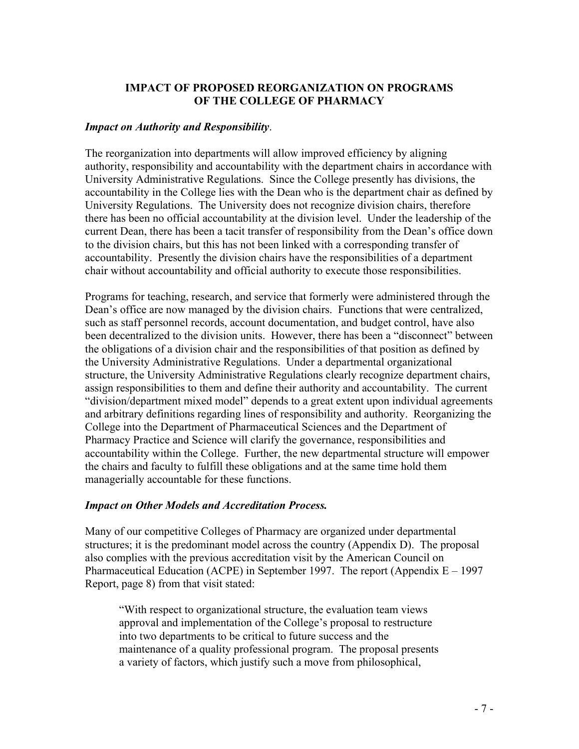#### **IMPACT OF PROPOSED REORGANIZATION ON PROGRAMS OF THE COLLEGE OF PHARMACY**

#### *Impact on Authority and Responsibility*.

The reorganization into departments will allow improved efficiency by aligning authority, responsibility and accountability with the department chairs in accordance with University Administrative Regulations. Since the College presently has divisions, the accountability in the College lies with the Dean who is the department chair as defined by University Regulations. The University does not recognize division chairs, therefore there has been no official accountability at the division level. Under the leadership of the current Dean, there has been a tacit transfer of responsibility from the Dean's office down to the division chairs, but this has not been linked with a corresponding transfer of accountability. Presently the division chairs have the responsibilities of a department chair without accountability and official authority to execute those responsibilities.

Programs for teaching, research, and service that formerly were administered through the Dean's office are now managed by the division chairs. Functions that were centralized, such as staff personnel records, account documentation, and budget control, have also been decentralized to the division units. However, there has been a "disconnect" between the obligations of a division chair and the responsibilities of that position as defined by the University Administrative Regulations. Under a departmental organizational structure, the University Administrative Regulations clearly recognize department chairs, assign responsibilities to them and define their authority and accountability. The current "division/department mixed model" depends to a great extent upon individual agreements and arbitrary definitions regarding lines of responsibility and authority. Reorganizing the College into the Department of Pharmaceutical Sciences and the Department of Pharmacy Practice and Science will clarify the governance, responsibilities and accountability within the College. Further, the new departmental structure will empower the chairs and faculty to fulfill these obligations and at the same time hold them managerially accountable for these functions.

#### *Impact on Other Models and Accreditation Process.*

Many of our competitive Colleges of Pharmacy are organized under departmental structures; it is the predominant model across the country (Appendix D). The proposal also complies with the previous accreditation visit by the American Council on Pharmaceutical Education (ACPE) in September 1997. The report (Appendix  $E - 1997$ Report, page 8) from that visit stated:

 "With respect to organizational structure, the evaluation team views approval and implementation of the College's proposal to restructure into two departments to be critical to future success and the maintenance of a quality professional program. The proposal presents a variety of factors, which justify such a move from philosophical,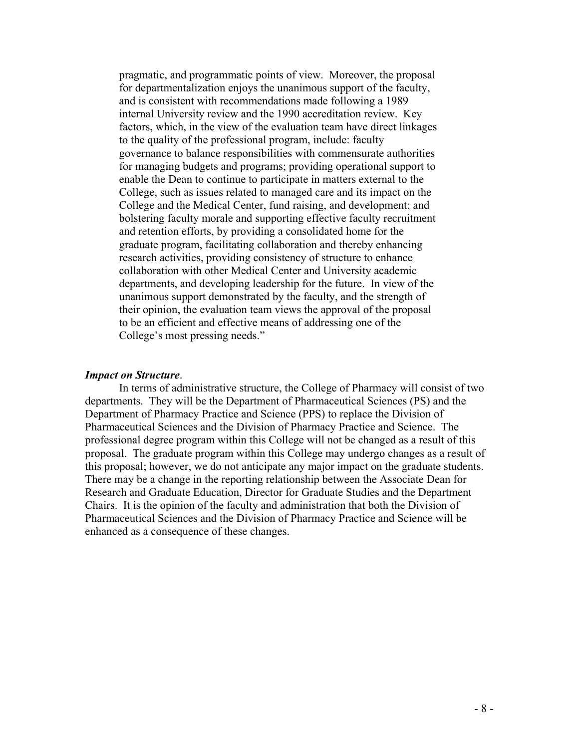pragmatic, and programmatic points of view. Moreover, the proposal for departmentalization enjoys the unanimous support of the faculty, and is consistent with recommendations made following a 1989 internal University review and the 1990 accreditation review. Key factors, which, in the view of the evaluation team have direct linkages to the quality of the professional program, include: faculty governance to balance responsibilities with commensurate authorities for managing budgets and programs; providing operational support to enable the Dean to continue to participate in matters external to the College, such as issues related to managed care and its impact on the College and the Medical Center, fund raising, and development; and bolstering faculty morale and supporting effective faculty recruitment and retention efforts, by providing a consolidated home for the graduate program, facilitating collaboration and thereby enhancing research activities, providing consistency of structure to enhance collaboration with other Medical Center and University academic departments, and developing leadership for the future. In view of the unanimous support demonstrated by the faculty, and the strength of their opinion, the evaluation team views the approval of the proposal to be an efficient and effective means of addressing one of the College's most pressing needs."

#### *Impact on Structure*.

In terms of administrative structure, the College of Pharmacy will consist of two departments. They will be the Department of Pharmaceutical Sciences (PS) and the Department of Pharmacy Practice and Science (PPS) to replace the Division of Pharmaceutical Sciences and the Division of Pharmacy Practice and Science. The professional degree program within this College will not be changed as a result of this proposal. The graduate program within this College may undergo changes as a result of this proposal; however, we do not anticipate any major impact on the graduate students. There may be a change in the reporting relationship between the Associate Dean for Research and Graduate Education, Director for Graduate Studies and the Department Chairs. It is the opinion of the faculty and administration that both the Division of Pharmaceutical Sciences and the Division of Pharmacy Practice and Science will be enhanced as a consequence of these changes.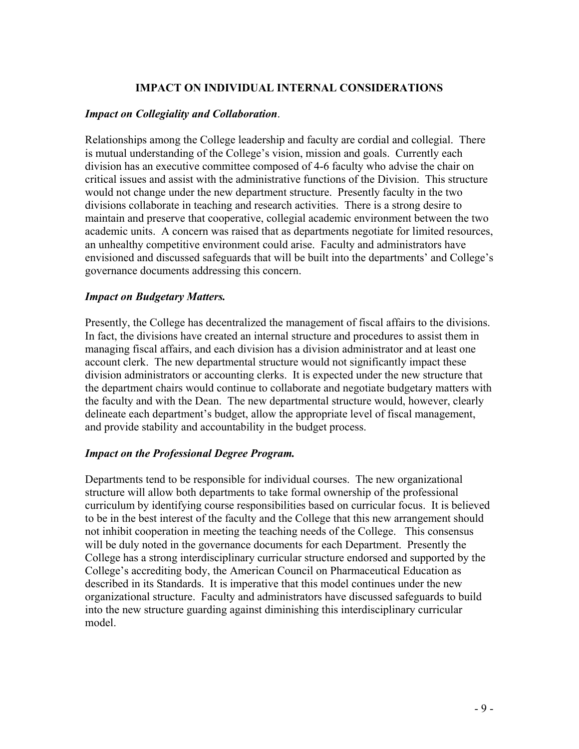#### **IMPACT ON INDIVIDUAL INTERNAL CONSIDERATIONS**

#### *Impact on Collegiality and Collaboration*.

Relationships among the College leadership and faculty are cordial and collegial. There is mutual understanding of the College's vision, mission and goals. Currently each division has an executive committee composed of 4-6 faculty who advise the chair on critical issues and assist with the administrative functions of the Division. This structure would not change under the new department structure. Presently faculty in the two divisions collaborate in teaching and research activities. There is a strong desire to maintain and preserve that cooperative, collegial academic environment between the two academic units. A concern was raised that as departments negotiate for limited resources, an unhealthy competitive environment could arise. Faculty and administrators have envisioned and discussed safeguards that will be built into the departments' and College's governance documents addressing this concern.

#### *Impact on Budgetary Matters.*

Presently, the College has decentralized the management of fiscal affairs to the divisions. In fact, the divisions have created an internal structure and procedures to assist them in managing fiscal affairs, and each division has a division administrator and at least one account clerk. The new departmental structure would not significantly impact these division administrators or accounting clerks. It is expected under the new structure that the department chairs would continue to collaborate and negotiate budgetary matters with the faculty and with the Dean. The new departmental structure would, however, clearly delineate each department's budget, allow the appropriate level of fiscal management, and provide stability and accountability in the budget process.

#### *Impact on the Professional Degree Program.*

Departments tend to be responsible for individual courses. The new organizational structure will allow both departments to take formal ownership of the professional curriculum by identifying course responsibilities based on curricular focus. It is believed to be in the best interest of the faculty and the College that this new arrangement should not inhibit cooperation in meeting the teaching needs of the College. This consensus will be duly noted in the governance documents for each Department. Presently the College has a strong interdisciplinary curricular structure endorsed and supported by the College's accrediting body, the American Council on Pharmaceutical Education as described in its Standards. It is imperative that this model continues under the new organizational structure. Faculty and administrators have discussed safeguards to build into the new structure guarding against diminishing this interdisciplinary curricular model.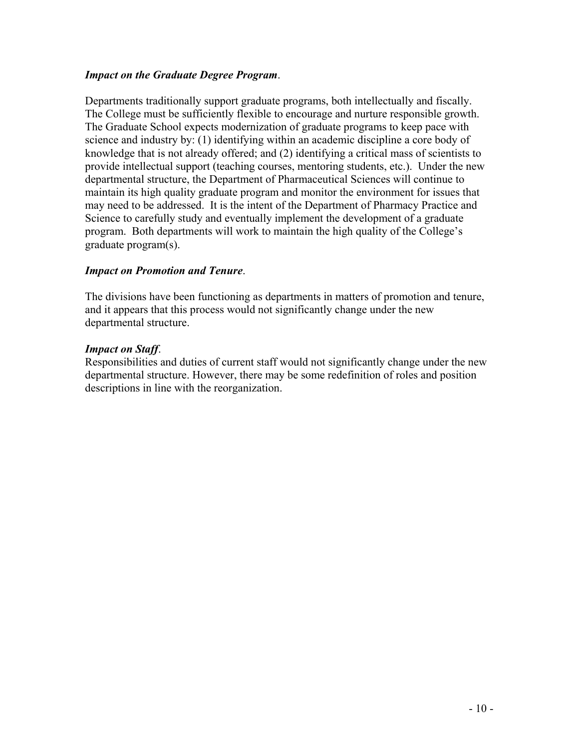#### *Impact on the Graduate Degree Program*.

Departments traditionally support graduate programs, both intellectually and fiscally. The College must be sufficiently flexible to encourage and nurture responsible growth. The Graduate School expects modernization of graduate programs to keep pace with science and industry by: (1) identifying within an academic discipline a core body of knowledge that is not already offered; and (2) identifying a critical mass of scientists to provide intellectual support (teaching courses, mentoring students, etc.). Under the new departmental structure, the Department of Pharmaceutical Sciences will continue to maintain its high quality graduate program and monitor the environment for issues that may need to be addressed. It is the intent of the Department of Pharmacy Practice and Science to carefully study and eventually implement the development of a graduate program. Both departments will work to maintain the high quality of the College's graduate program(s).

#### *Impact on Promotion and Tenure*.

The divisions have been functioning as departments in matters of promotion and tenure, and it appears that this process would not significantly change under the new departmental structure.

#### *Impact on Staff*.

Responsibilities and duties of current staff would not significantly change under the new departmental structure. However, there may be some redefinition of roles and position descriptions in line with the reorganization.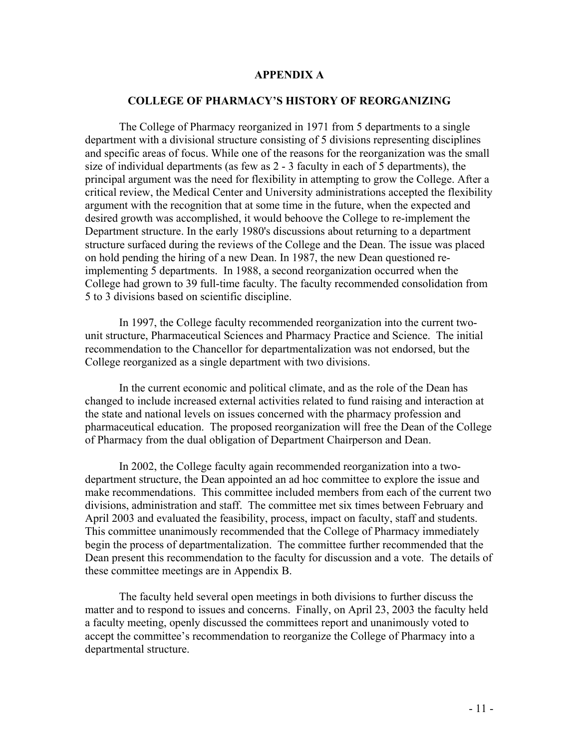#### **APPENDIX A**

#### **COLLEGE OF PHARMACY'S HISTORY OF REORGANIZING**

The College of Pharmacy reorganized in 1971 from 5 departments to a single department with a divisional structure consisting of 5 divisions representing disciplines and specific areas of focus. While one of the reasons for the reorganization was the small size of individual departments (as few as 2 - 3 faculty in each of 5 departments), the principal argument was the need for flexibility in attempting to grow the College. After a critical review, the Medical Center and University administrations accepted the flexibility argument with the recognition that at some time in the future, when the expected and desired growth was accomplished, it would behoove the College to re-implement the Department structure. In the early 1980's discussions about returning to a department structure surfaced during the reviews of the College and the Dean. The issue was placed on hold pending the hiring of a new Dean. In 1987, the new Dean questioned reimplementing 5 departments. In 1988, a second reorganization occurred when the College had grown to 39 full-time faculty. The faculty recommended consolidation from 5 to 3 divisions based on scientific discipline.

In 1997, the College faculty recommended reorganization into the current twounit structure, Pharmaceutical Sciences and Pharmacy Practice and Science. The initial recommendation to the Chancellor for departmentalization was not endorsed, but the College reorganized as a single department with two divisions.

In the current economic and political climate, and as the role of the Dean has changed to include increased external activities related to fund raising and interaction at the state and national levels on issues concerned with the pharmacy profession and pharmaceutical education. The proposed reorganization will free the Dean of the College of Pharmacy from the dual obligation of Department Chairperson and Dean.

In 2002, the College faculty again recommended reorganization into a twodepartment structure, the Dean appointed an ad hoc committee to explore the issue and make recommendations. This committee included members from each of the current two divisions, administration and staff. The committee met six times between February and April 2003 and evaluated the feasibility, process, impact on faculty, staff and students. This committee unanimously recommended that the College of Pharmacy immediately begin the process of departmentalization. The committee further recommended that the Dean present this recommendation to the faculty for discussion and a vote. The details of these committee meetings are in Appendix B.

The faculty held several open meetings in both divisions to further discuss the matter and to respond to issues and concerns. Finally, on April 23, 2003 the faculty held a faculty meeting, openly discussed the committees report and unanimously voted to accept the committee's recommendation to reorganize the College of Pharmacy into a departmental structure.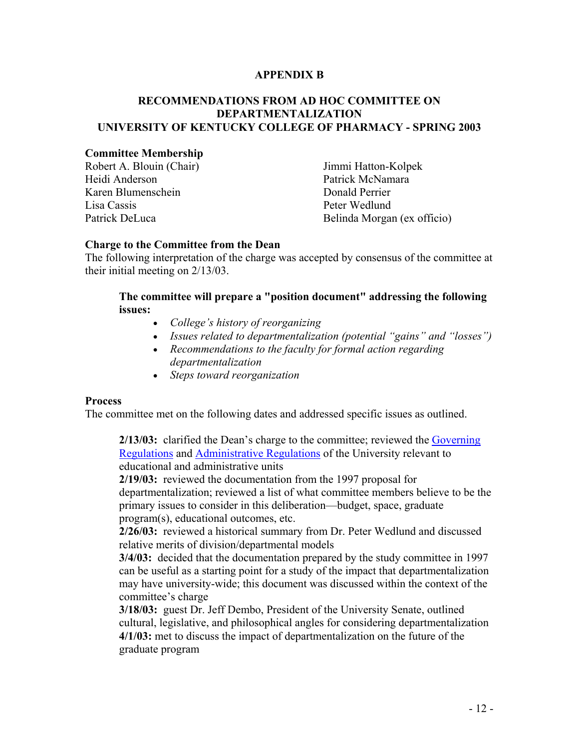#### **APPENDIX B**

#### **RECOMMENDATIONS FROM AD HOC COMMITTEE ON DEPARTMENTALIZATION UNIVERSITY OF KENTUCKY COLLEGE OF PHARMACY - SPRING 2003**

#### **Committee Membership**

Robert A. Blouin (Chair) Jimmi Hatton-Kolpek Heidi Anderson Patrick McNamara Karen Blumenschein and Donald Perrier Lisa Cassis Peter Wedlund

Patrick DeLuca Belinda Morgan (ex officio)

#### **Charge to the Committee from the Dean**

The following interpretation of the charge was accepted by consensus of the committee at their initial meeting on 2/13/03.

#### **The committee will prepare a "position document" addressing the following issues:**

- *College's history of reorganizing*
- *Issues related to departmentalization (potential "gains" and "losses")*
- *Recommendations to the faculty for formal action regarding departmentalization*
- *Steps toward reorganization*

#### **Process**

The committee met on the following dates and addressed specific issues as outlined.

**2/13/03:** clarified the Dean's charge to the committee; reviewed the Governing Regulations and Administrative Regulations of the University relevant to educational and administrative units

**2/19/03:** reviewed the documentation from the 1997 proposal for departmentalization; reviewed a list of what committee members believe to be the primary issues to consider in this deliberation—budget, space, graduate program(s), educational outcomes, etc.

**2/26/03:** reviewed a historical summary from Dr. Peter Wedlund and discussed relative merits of division/departmental models

**3/4/03:** decided that the documentation prepared by the study committee in 1997 can be useful as a starting point for a study of the impact that departmentalization may have university-wide; this document was discussed within the context of the committee's charge

**3/18/03:** guest Dr. Jeff Dembo, President of the University Senate, outlined cultural, legislative, and philosophical angles for considering departmentalization **4/1/03:** met to discuss the impact of departmentalization on the future of the graduate program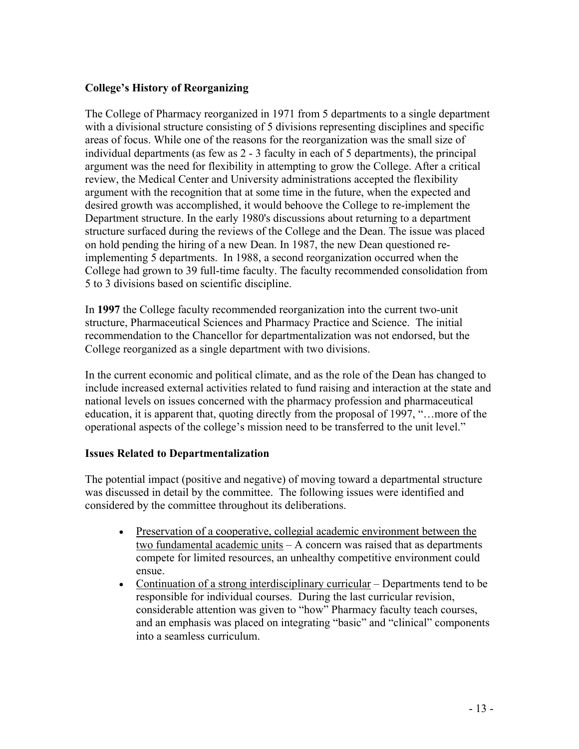#### **College's History of Reorganizing**

The College of Pharmacy reorganized in 1971 from 5 departments to a single department with a divisional structure consisting of 5 divisions representing disciplines and specific areas of focus. While one of the reasons for the reorganization was the small size of individual departments (as few as 2 - 3 faculty in each of 5 departments), the principal argument was the need for flexibility in attempting to grow the College. After a critical review, the Medical Center and University administrations accepted the flexibility argument with the recognition that at some time in the future, when the expected and desired growth was accomplished, it would behoove the College to re-implement the Department structure. In the early 1980's discussions about returning to a department structure surfaced during the reviews of the College and the Dean. The issue was placed on hold pending the hiring of a new Dean. In 1987, the new Dean questioned reimplementing 5 departments. In 1988, a second reorganization occurred when the College had grown to 39 full-time faculty. The faculty recommended consolidation from 5 to 3 divisions based on scientific discipline.

In **1997** the College faculty recommended reorganization into the current two-unit structure, Pharmaceutical Sciences and Pharmacy Practice and Science. The initial recommendation to the Chancellor for departmentalization was not endorsed, but the College reorganized as a single department with two divisions.

In the current economic and political climate, and as the role of the Dean has changed to include increased external activities related to fund raising and interaction at the state and national levels on issues concerned with the pharmacy profession and pharmaceutical education, it is apparent that, quoting directly from the proposal of 1997, "…more of the operational aspects of the college's mission need to be transferred to the unit level."

#### **Issues Related to Departmentalization**

The potential impact (positive and negative) of moving toward a departmental structure was discussed in detail by the committee. The following issues were identified and considered by the committee throughout its deliberations.

- Preservation of a cooperative, collegial academic environment between the two fundamental academic units – A concern was raised that as departments compete for limited resources, an unhealthy competitive environment could ensue.
- Continuation of a strong interdisciplinary curricular Departments tend to be responsible for individual courses. During the last curricular revision, considerable attention was given to "how" Pharmacy faculty teach courses, and an emphasis was placed on integrating "basic" and "clinical" components into a seamless curriculum.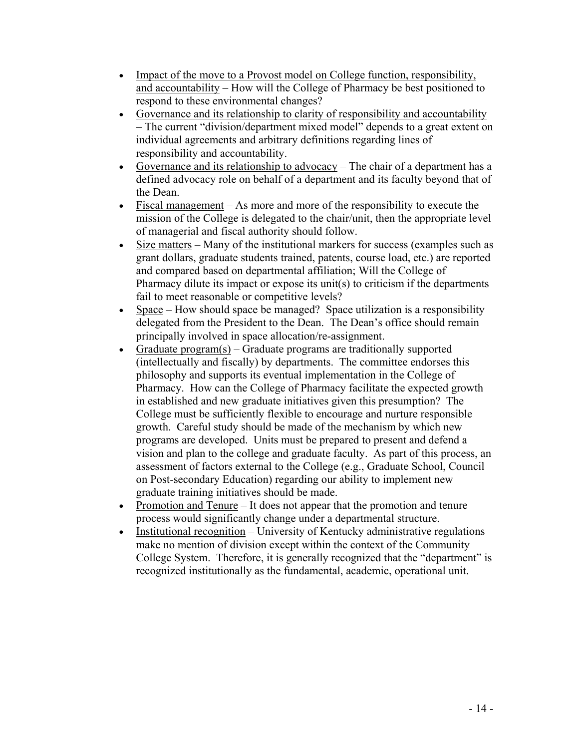- Impact of the move to a Provost model on College function, responsibility, and accountability – How will the College of Pharmacy be best positioned to respond to these environmental changes?
- Governance and its relationship to clarity of responsibility and accountability – The current "division/department mixed model" depends to a great extent on individual agreements and arbitrary definitions regarding lines of responsibility and accountability.
- Governance and its relationship to advocacy The chair of a department has a defined advocacy role on behalf of a department and its faculty beyond that of the Dean.
- Fiscal management As more and more of the responsibility to execute the mission of the College is delegated to the chair/unit, then the appropriate level of managerial and fiscal authority should follow.
- Size matters Many of the institutional markers for success (examples such as grant dollars, graduate students trained, patents, course load, etc.) are reported and compared based on departmental affiliation; Will the College of Pharmacy dilute its impact or expose its unit(s) to criticism if the departments fail to meet reasonable or competitive levels?
- Space How should space be managed? Space utilization is a responsibility delegated from the President to the Dean. The Dean's office should remain principally involved in space allocation/re-assignment.
- Graduate program(s) Graduate programs are traditionally supported (intellectually and fiscally) by departments. The committee endorses this philosophy and supports its eventual implementation in the College of Pharmacy. How can the College of Pharmacy facilitate the expected growth in established and new graduate initiatives given this presumption? The College must be sufficiently flexible to encourage and nurture responsible growth. Careful study should be made of the mechanism by which new programs are developed. Units must be prepared to present and defend a vision and plan to the college and graduate faculty. As part of this process, an assessment of factors external to the College (e.g., Graduate School, Council on Post-secondary Education) regarding our ability to implement new graduate training initiatives should be made.
- Promotion and Tenure It does not appear that the promotion and tenure process would significantly change under a departmental structure.
- Institutional recognition University of Kentucky administrative regulations make no mention of division except within the context of the Community College System. Therefore, it is generally recognized that the "department" is recognized institutionally as the fundamental, academic, operational unit.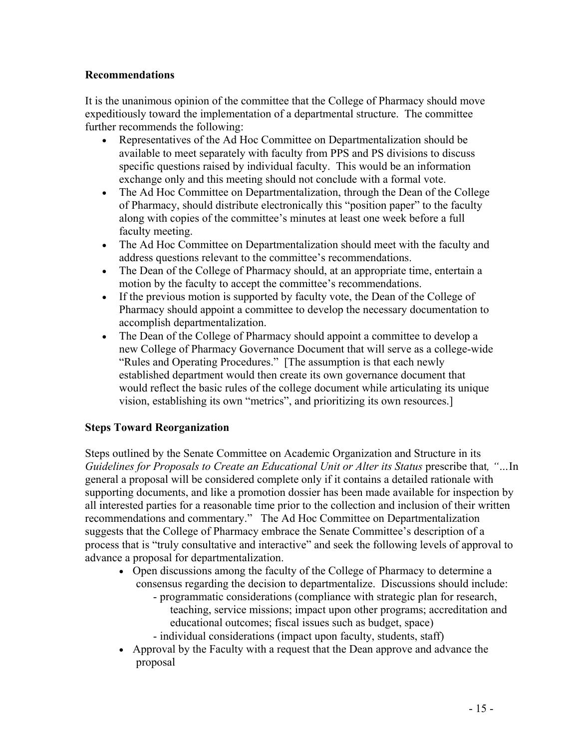#### **Recommendations**

It is the unanimous opinion of the committee that the College of Pharmacy should move expeditiously toward the implementation of a departmental structure. The committee further recommends the following:

- Representatives of the Ad Hoc Committee on Departmentalization should be available to meet separately with faculty from PPS and PS divisions to discuss specific questions raised by individual faculty. This would be an information exchange only and this meeting should not conclude with a formal vote.
- The Ad Hoc Committee on Departmentalization, through the Dean of the College of Pharmacy, should distribute electronically this "position paper" to the faculty along with copies of the committee's minutes at least one week before a full faculty meeting.
- The Ad Hoc Committee on Departmentalization should meet with the faculty and address questions relevant to the committee's recommendations.
- The Dean of the College of Pharmacy should, at an appropriate time, entertain a motion by the faculty to accept the committee's recommendations.
- If the previous motion is supported by faculty vote, the Dean of the College of Pharmacy should appoint a committee to develop the necessary documentation to accomplish departmentalization.
- The Dean of the College of Pharmacy should appoint a committee to develop a new College of Pharmacy Governance Document that will serve as a college-wide "Rules and Operating Procedures." [The assumption is that each newly established department would then create its own governance document that would reflect the basic rules of the college document while articulating its unique vision, establishing its own "metrics", and prioritizing its own resources.]

#### **Steps Toward Reorganization**

Steps outlined by the Senate Committee on Academic Organization and Structure in its *Guidelines for Proposals to Create an Educational Unit or Alter its Status prescribe that, "...In* general a proposal will be considered complete only if it contains a detailed rationale with supporting documents, and like a promotion dossier has been made available for inspection by all interested parties for a reasonable time prior to the collection and inclusion of their written recommendations and commentary." The Ad Hoc Committee on Departmentalization suggests that the College of Pharmacy embrace the Senate Committee's description of a process that is "truly consultative and interactive" and seek the following levels of approval to advance a proposal for departmentalization.

- Open discussions among the faculty of the College of Pharmacy to determine a consensus regarding the decision to departmentalize. Discussions should include:
	- programmatic considerations (compliance with strategic plan for research, teaching, service missions; impact upon other programs; accreditation and educational outcomes; fiscal issues such as budget, space)
	- individual considerations (impact upon faculty, students, staff)
- Approval by the Faculty with a request that the Dean approve and advance the proposal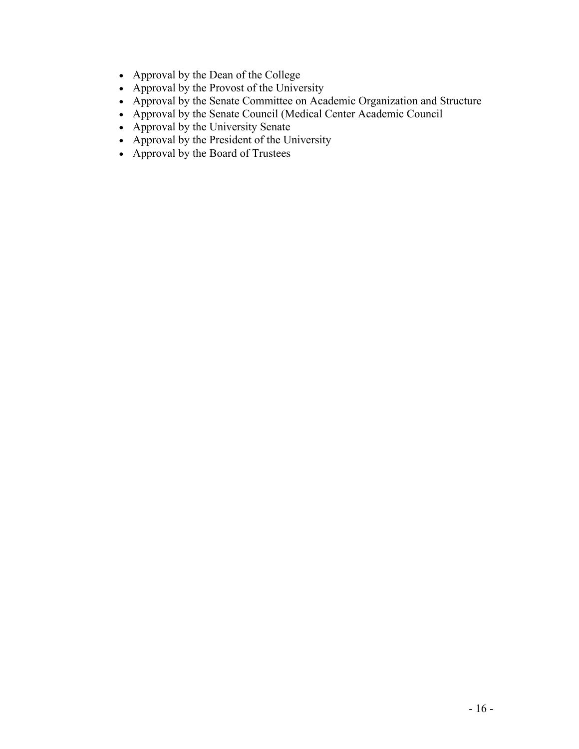- Approval by the Dean of the College
- Approval by the Provost of the University
- Approval by the Senate Committee on Academic Organization and Structure
- Approval by the Senate Council (Medical Center Academic Council
- Approval by the University Senate
- Approval by the President of the University
- Approval by the Board of Trustees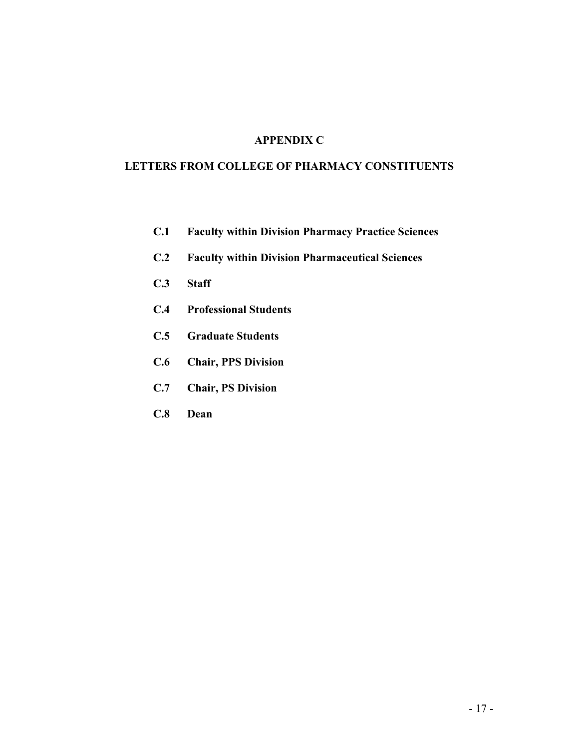#### **LETTERS FROM COLLEGE OF PHARMACY CONSTITUENTS**

- **C.1 Faculty within Division Pharmacy Practice Sciences**
- **C.2 Faculty within Division Pharmaceutical Sciences**
- **C.3 Staff**
- **C.4 Professional Students**
- **C.5 Graduate Students**
- **C.6 Chair, PPS Division**
- **C.7 Chair, PS Division**
- **C.8 Dean**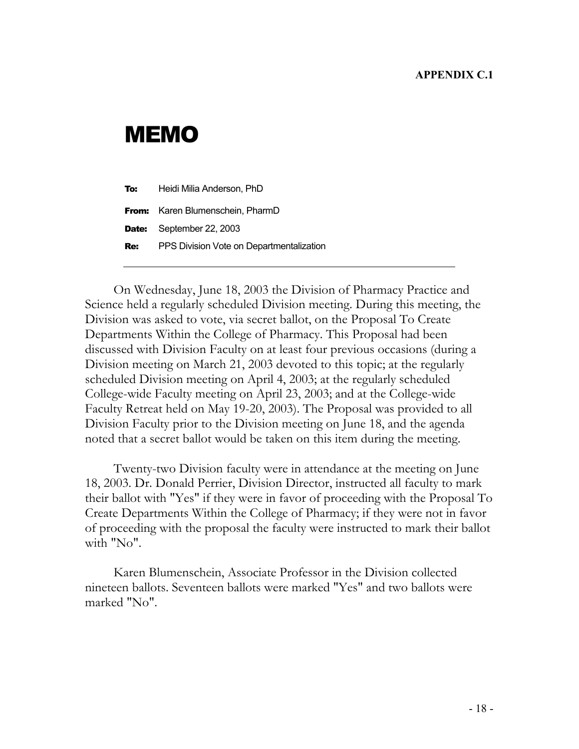# MEMO

| To: | Heidi Milia Anderson, PhD                |
|-----|------------------------------------------|
|     | <b>From:</b> Karen Blumenschein, PharmD  |
|     | <b>Date:</b> September 22, 2003          |
| Re: | PPS Division Vote on Departmentalization |

On Wednesday, June 18, 2003 the Division of Pharmacy Practice and Science held a regularly scheduled Division meeting. During this meeting, the Division was asked to vote, via secret ballot, on the Proposal To Create Departments Within the College of Pharmacy. This Proposal had been discussed with Division Faculty on at least four previous occasions (during a Division meeting on March 21, 2003 devoted to this topic; at the regularly scheduled Division meeting on April 4, 2003; at the regularly scheduled College-wide Faculty meeting on April 23, 2003; and at the College-wide Faculty Retreat held on May 19-20, 2003). The Proposal was provided to all Division Faculty prior to the Division meeting on June 18, and the agenda noted that a secret ballot would be taken on this item during the meeting.

Twenty-two Division faculty were in attendance at the meeting on June 18, 2003. Dr. Donald Perrier, Division Director, instructed all faculty to mark their ballot with "Yes" if they were in favor of proceeding with the Proposal To Create Departments Within the College of Pharmacy; if they were not in favor of proceeding with the proposal the faculty were instructed to mark their ballot with "No".

Karen Blumenschein, Associate Professor in the Division collected nineteen ballots. Seventeen ballots were marked "Yes" and two ballots were marked "No".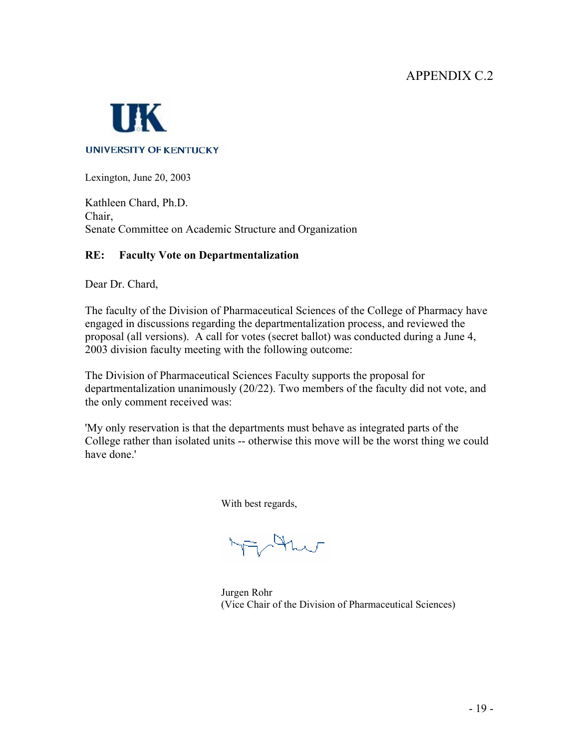

Lexington, June 20, 2003

Kathleen Chard, Ph.D. Chair, Senate Committee on Academic Structure and Organization

#### **RE: Faculty Vote on Departmentalization**

Dear Dr. Chard,

The faculty of the Division of Pharmaceutical Sciences of the College of Pharmacy have engaged in discussions regarding the departmentalization process, and reviewed the proposal (all versions). A call for votes (secret ballot) was conducted during a June 4, 2003 division faculty meeting with the following outcome:

The Division of Pharmaceutical Sciences Faculty supports the proposal for departmentalization unanimously (20/22). Two members of the faculty did not vote, and the only comment received was:

'My only reservation is that the departments must behave as integrated parts of the College rather than isolated units -- otherwise this move will be the worst thing we could have done.'

With best regards,

irthw

 Jurgen Rohr (Vice Chair of the Division of Pharmaceutical Sciences)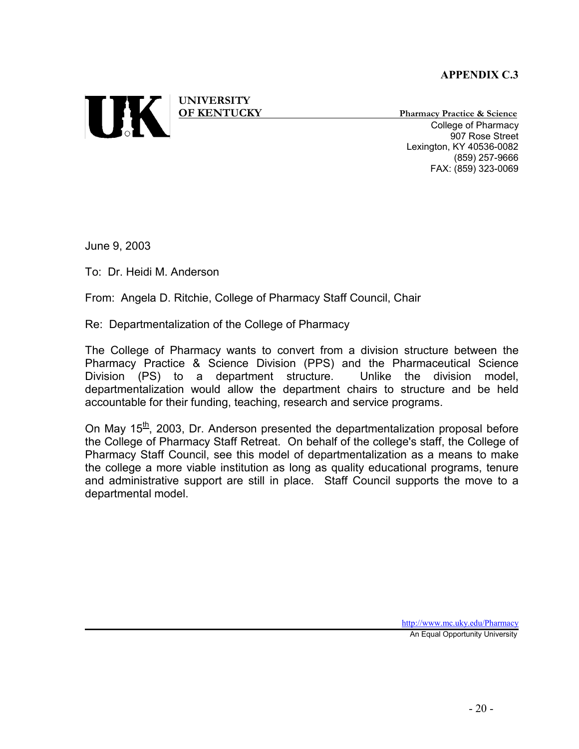

**UNIVERSITY** 

**OF KENTUCKY Pharmacy Practice & Science** College of Pharmacy 907 Rose Street Lexington, KY 40536-0082 (859) 257-9666 FAX: (859) 323-0069

June 9, 2003

To: Dr. Heidi M. Anderson

From: Angela D. Ritchie, College of Pharmacy Staff Council, Chair

Re: Departmentalization of the College of Pharmacy

The College of Pharmacy wants to convert from a division structure between the Pharmacy Practice & Science Division (PPS) and the Pharmaceutical Science Division (PS) to a department structure. Unlike the division model, departmentalization would allow the department chairs to structure and be held accountable for their funding, teaching, research and service programs.

On May  $15<sup>th</sup>$ , 2003, Dr. Anderson presented the departmentalization proposal before the College of Pharmacy Staff Retreat. On behalf of the college's staff, the College of Pharmacy Staff Council, see this model of departmentalization as a means to make the college a more viable institution as long as quality educational programs, tenure and administrative support are still in place. Staff Council supports the move to a departmental model.

http://www.mc.uky.edu/Pharmacy

An Equal Opportunity University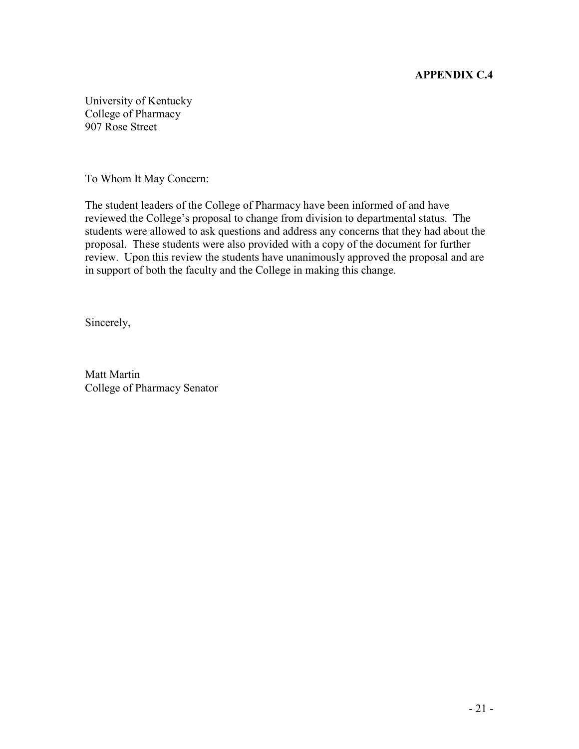University of Kentucky College of Pharmacy 907 Rose Street

To Whom It May Concern:

The student leaders of the College of Pharmacy have been informed of and have reviewed the College's proposal to change from division to departmental status. The students were allowed to ask questions and address any concerns that they had about the proposal. These students were also provided with a copy of the document for further review. Upon this review the students have unanimously approved the proposal and are in support of both the faculty and the College in making this change.

Sincerely,

Matt Martin College of Pharmacy Senator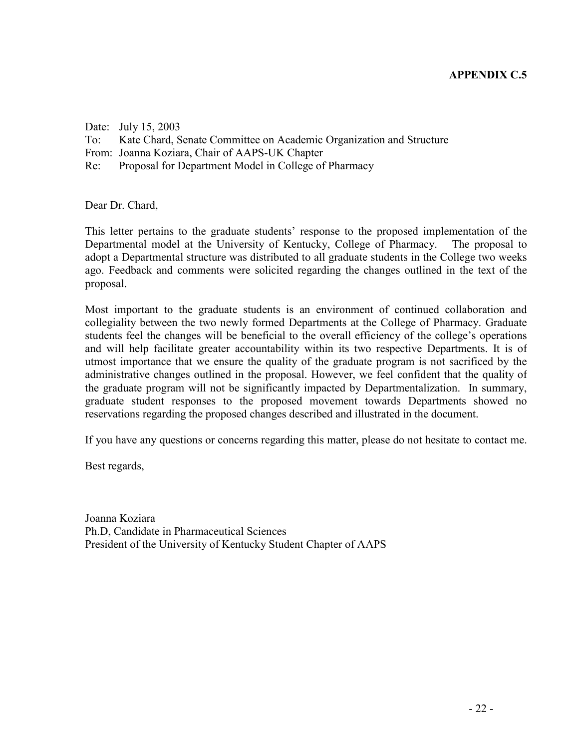Date: July 15, 2003 To: Kate Chard, Senate Committee on Academic Organization and Structure From: Joanna Koziara, Chair of AAPS-UK Chapter Re: Proposal for Department Model in College of Pharmacy

Dear Dr. Chard,

This letter pertains to the graduate students' response to the proposed implementation of the Departmental model at the University of Kentucky, College of Pharmacy. The proposal to adopt a Departmental structure was distributed to all graduate students in the College two weeks ago. Feedback and comments were solicited regarding the changes outlined in the text of the proposal.

Most important to the graduate students is an environment of continued collaboration and collegiality between the two newly formed Departments at the College of Pharmacy. Graduate students feel the changes will be beneficial to the overall efficiency of the college's operations and will help facilitate greater accountability within its two respective Departments. It is of utmost importance that we ensure the quality of the graduate program is not sacrificed by the administrative changes outlined in the proposal. However, we feel confident that the quality of the graduate program will not be significantly impacted by Departmentalization. In summary, graduate student responses to the proposed movement towards Departments showed no reservations regarding the proposed changes described and illustrated in the document.

If you have any questions or concerns regarding this matter, please do not hesitate to contact me.

Best regards,

Joanna Koziara Ph.D, Candidate in Pharmaceutical Sciences President of the University of Kentucky Student Chapter of AAPS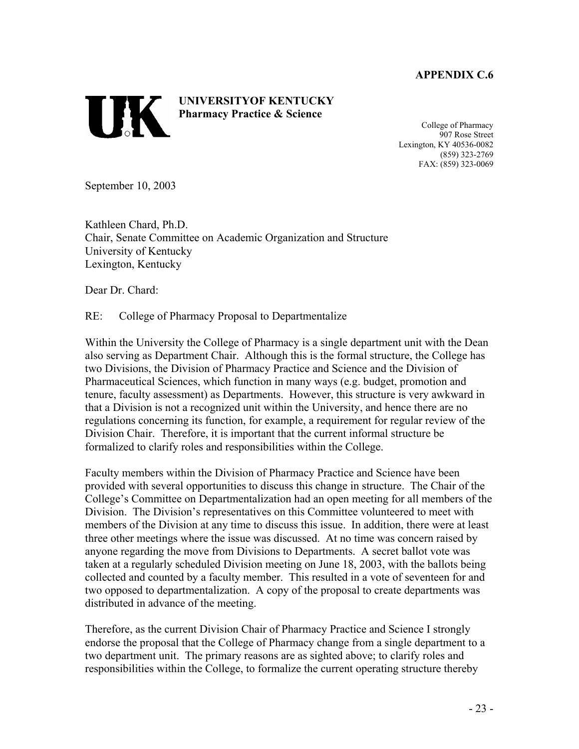**TIK** 

**UNIVERSITYOF KENTUCKY Pharmacy Practice & Science** 

College of Pharmacy 907 Rose Street Lexington, KY 40536-0082 (859) 323-2769 FAX: (859) 323-0069

September 10, 2003

Kathleen Chard, Ph.D. Chair, Senate Committee on Academic Organization and Structure University of Kentucky Lexington, Kentucky

Dear Dr. Chard:

RE: College of Pharmacy Proposal to Departmentalize

Within the University the College of Pharmacy is a single department unit with the Dean also serving as Department Chair. Although this is the formal structure, the College has two Divisions, the Division of Pharmacy Practice and Science and the Division of Pharmaceutical Sciences, which function in many ways (e.g. budget, promotion and tenure, faculty assessment) as Departments. However, this structure is very awkward in that a Division is not a recognized unit within the University, and hence there are no regulations concerning its function, for example, a requirement for regular review of the Division Chair. Therefore, it is important that the current informal structure be formalized to clarify roles and responsibilities within the College.

Faculty members within the Division of Pharmacy Practice and Science have been provided with several opportunities to discuss this change in structure. The Chair of the College's Committee on Departmentalization had an open meeting for all members of the Division. The Division's representatives on this Committee volunteered to meet with members of the Division at any time to discuss this issue. In addition, there were at least three other meetings where the issue was discussed. At no time was concern raised by anyone regarding the move from Divisions to Departments. A secret ballot vote was taken at a regularly scheduled Division meeting on June 18, 2003, with the ballots being collected and counted by a faculty member. This resulted in a vote of seventeen for and two opposed to departmentalization. A copy of the proposal to create departments was distributed in advance of the meeting.

Therefore, as the current Division Chair of Pharmacy Practice and Science I strongly endorse the proposal that the College of Pharmacy change from a single department to a two department unit. The primary reasons are as sighted above; to clarify roles and responsibilities within the College, to formalize the current operating structure thereby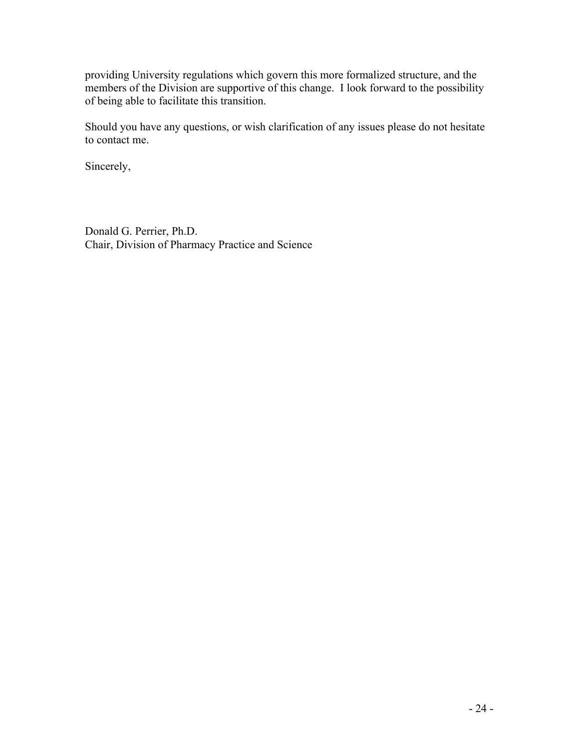providing University regulations which govern this more formalized structure, and the members of the Division are supportive of this change. I look forward to the possibility of being able to facilitate this transition.

Should you have any questions, or wish clarification of any issues please do not hesitate to contact me.

Sincerely,

Donald G. Perrier, Ph.D. Chair, Division of Pharmacy Practice and Science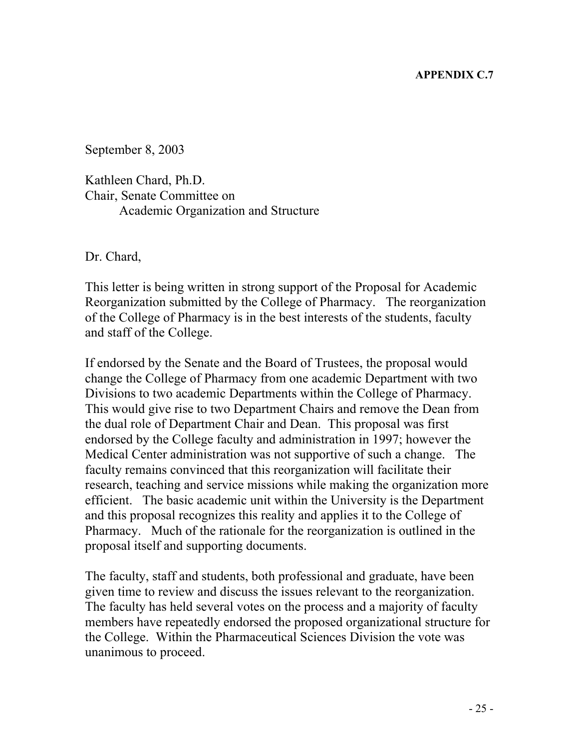September 8, 2003

Kathleen Chard, Ph.D. Chair, Senate Committee on Academic Organization and Structure

Dr. Chard,

This letter is being written in strong support of the Proposal for Academic Reorganization submitted by the College of Pharmacy. The reorganization of the College of Pharmacy is in the best interests of the students, faculty and staff of the College.

If endorsed by the Senate and the Board of Trustees, the proposal would change the College of Pharmacy from one academic Department with two Divisions to two academic Departments within the College of Pharmacy. This would give rise to two Department Chairs and remove the Dean from the dual role of Department Chair and Dean. This proposal was first endorsed by the College faculty and administration in 1997; however the Medical Center administration was not supportive of such a change. The faculty remains convinced that this reorganization will facilitate their research, teaching and service missions while making the organization more efficient. The basic academic unit within the University is the Department and this proposal recognizes this reality and applies it to the College of Pharmacy. Much of the rationale for the reorganization is outlined in the proposal itself and supporting documents.

The faculty, staff and students, both professional and graduate, have been given time to review and discuss the issues relevant to the reorganization. The faculty has held several votes on the process and a majority of faculty members have repeatedly endorsed the proposed organizational structure for the College. Within the Pharmaceutical Sciences Division the vote was unanimous to proceed.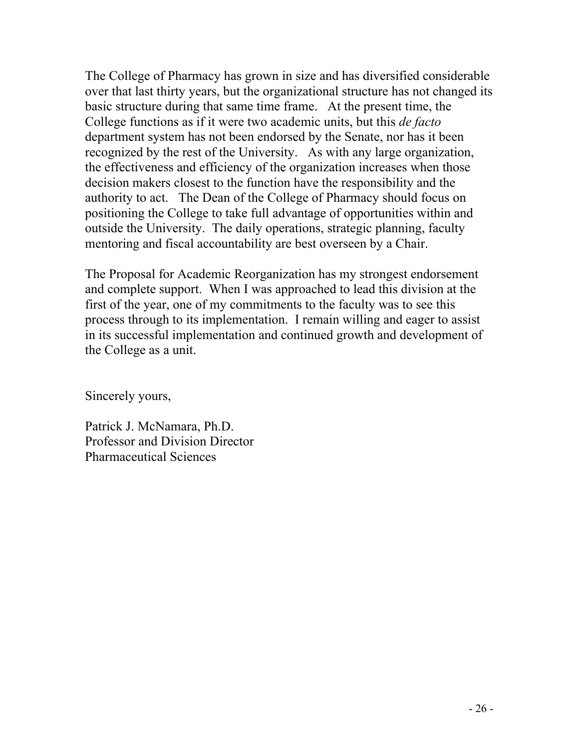The College of Pharmacy has grown in size and has diversified considerable over that last thirty years, but the organizational structure has not changed its basic structure during that same time frame. At the present time, the College functions as if it were two academic units, but this *de facto* department system has not been endorsed by the Senate, nor has it been recognized by the rest of the University. As with any large organization, the effectiveness and efficiency of the organization increases when those decision makers closest to the function have the responsibility and the authority to act. The Dean of the College of Pharmacy should focus on positioning the College to take full advantage of opportunities within and outside the University. The daily operations, strategic planning, faculty mentoring and fiscal accountability are best overseen by a Chair.

The Proposal for Academic Reorganization has my strongest endorsement and complete support. When I was approached to lead this division at the first of the year, one of my commitments to the faculty was to see this process through to its implementation. I remain willing and eager to assist in its successful implementation and continued growth and development of the College as a unit.

Sincerely yours,

Patrick J. McNamara, Ph.D. Professor and Division Director Pharmaceutical Sciences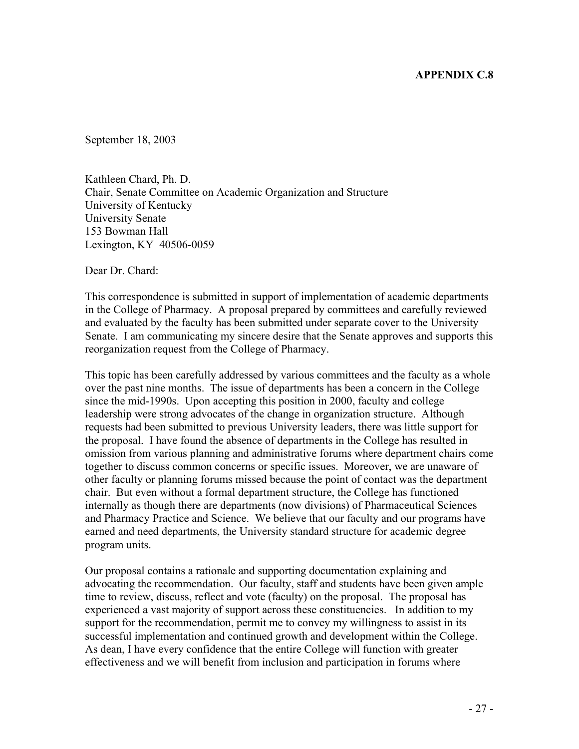September 18, 2003

Kathleen Chard, Ph. D. Chair, Senate Committee on Academic Organization and Structure University of Kentucky University Senate 153 Bowman Hall Lexington, KY 40506-0059

Dear Dr. Chard:

This correspondence is submitted in support of implementation of academic departments in the College of Pharmacy. A proposal prepared by committees and carefully reviewed and evaluated by the faculty has been submitted under separate cover to the University Senate. I am communicating my sincere desire that the Senate approves and supports this reorganization request from the College of Pharmacy.

This topic has been carefully addressed by various committees and the faculty as a whole over the past nine months. The issue of departments has been a concern in the College since the mid-1990s. Upon accepting this position in 2000, faculty and college leadership were strong advocates of the change in organization structure. Although requests had been submitted to previous University leaders, there was little support for the proposal. I have found the absence of departments in the College has resulted in omission from various planning and administrative forums where department chairs come together to discuss common concerns or specific issues. Moreover, we are unaware of other faculty or planning forums missed because the point of contact was the department chair. But even without a formal department structure, the College has functioned internally as though there are departments (now divisions) of Pharmaceutical Sciences and Pharmacy Practice and Science. We believe that our faculty and our programs have earned and need departments, the University standard structure for academic degree program units.

Our proposal contains a rationale and supporting documentation explaining and advocating the recommendation. Our faculty, staff and students have been given ample time to review, discuss, reflect and vote (faculty) on the proposal. The proposal has experienced a vast majority of support across these constituencies. In addition to my support for the recommendation, permit me to convey my willingness to assist in its successful implementation and continued growth and development within the College. As dean, I have every confidence that the entire College will function with greater effectiveness and we will benefit from inclusion and participation in forums where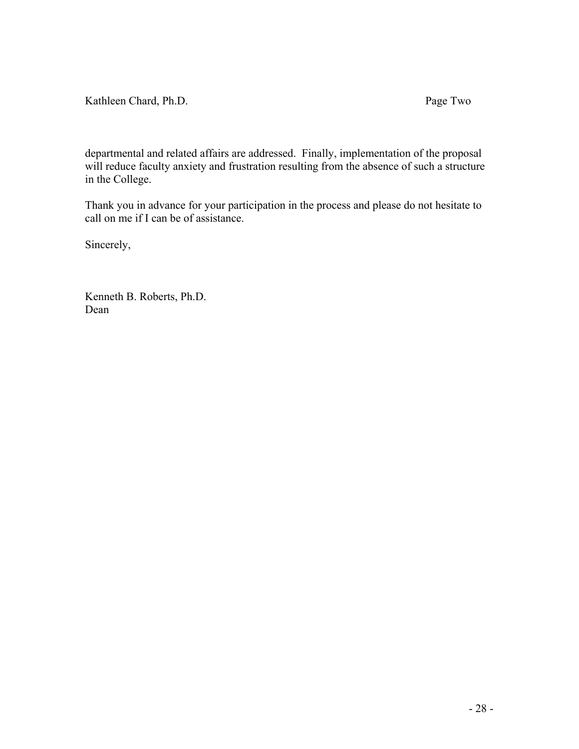Kathleen Chard, Ph.D. Page Two

departmental and related affairs are addressed. Finally, implementation of the proposal will reduce faculty anxiety and frustration resulting from the absence of such a structure in the College.

Thank you in advance for your participation in the process and please do not hesitate to call on me if I can be of assistance.

Sincerely,

Kenneth B. Roberts, Ph.D. Dean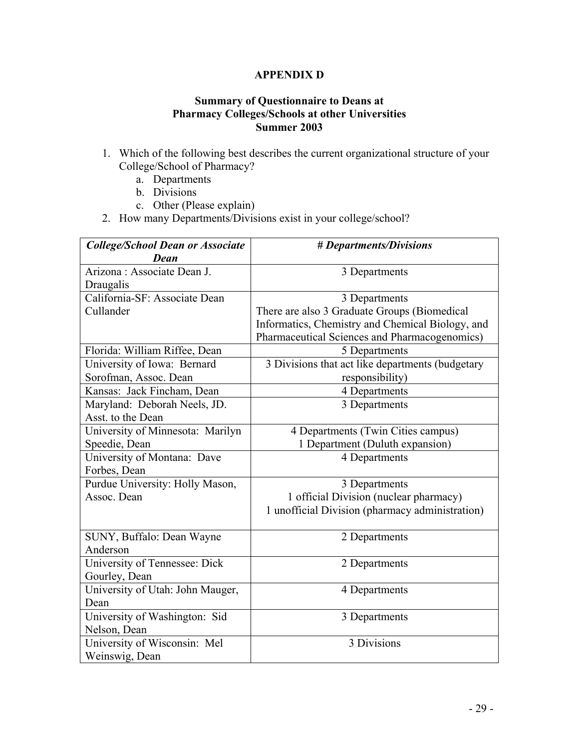#### **APPENDIX D**

#### **Summary of Questionnaire to Deans at Pharmacy Colleges/Schools at other Universities Summer 2003**

- 1. Which of the following best describes the current organizational structure of your College/School of Pharmacy?
	- a. Departments
	- b. Divisions
	- c. Other (Please explain)
- 2. How many Departments/Divisions exist in your college/school?

| <b>College/School Dean or Associate</b> | # Departments/Divisions                          |
|-----------------------------------------|--------------------------------------------------|
| Dean                                    |                                                  |
| Arizona: Associate Dean J.              | 3 Departments                                    |
| Draugalis                               |                                                  |
| California-SF: Associate Dean           | 3 Departments                                    |
| Cullander                               | There are also 3 Graduate Groups (Biomedical     |
|                                         | Informatics, Chemistry and Chemical Biology, and |
|                                         | Pharmaceutical Sciences and Pharmacogenomics)    |
| Florida: William Riffee, Dean           | 5 Departments                                    |
| University of Iowa: Bernard             | 3 Divisions that act like departments (budgetary |
| Sorofman, Assoc. Dean                   | responsibility)                                  |
| Kansas: Jack Fincham, Dean              | 4 Departments                                    |
| Maryland: Deborah Neels, JD.            | 3 Departments                                    |
| Asst. to the Dean                       |                                                  |
| University of Minnesota: Marilyn        | 4 Departments (Twin Cities campus)               |
| Speedie, Dean                           | 1 Department (Duluth expansion)                  |
| University of Montana: Dave             | 4 Departments                                    |
| Forbes, Dean                            |                                                  |
| Purdue University: Holly Mason,         | 3 Departments                                    |
| Assoc. Dean                             | 1 official Division (nuclear pharmacy)           |
|                                         | 1 unofficial Division (pharmacy administration)  |
|                                         |                                                  |
| SUNY, Buffalo: Dean Wayne               | 2 Departments                                    |
| Anderson                                |                                                  |
| University of Tennessee: Dick           | 2 Departments                                    |
| Gourley, Dean                           |                                                  |
| University of Utah: John Mauger,        | 4 Departments                                    |
| Dean                                    |                                                  |
| University of Washington: Sid           | 3 Departments                                    |
| Nelson, Dean                            |                                                  |
| University of Wisconsin: Mel            | 3 Divisions                                      |
| Weinswig, Dean                          |                                                  |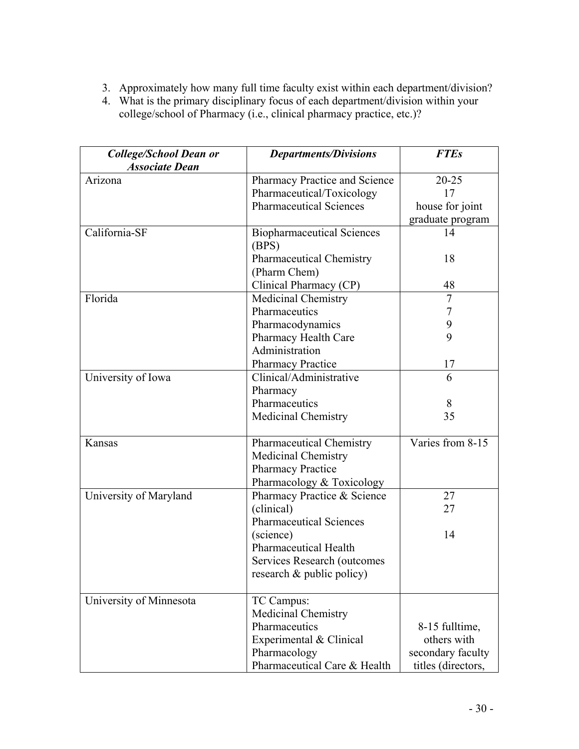- 3. Approximately how many full time faculty exist within each department/division?
- 4. What is the primary disciplinary focus of each department/division within your college/school of Pharmacy (i.e., clinical pharmacy practice, etc.)?

| <b>College/School Dean or</b><br><b>Associate Dean</b> | <b>Departments/Divisions</b>      | <b>FTEs</b>        |
|--------------------------------------------------------|-----------------------------------|--------------------|
| Arizona                                                | Pharmacy Practice and Science     | $20 - 25$          |
|                                                        | Pharmaceutical/Toxicology         | 17                 |
|                                                        | <b>Pharmaceutical Sciences</b>    | house for joint    |
|                                                        |                                   | graduate program   |
| California-SF                                          | <b>Biopharmaceutical Sciences</b> | 14                 |
|                                                        | (BPS)                             |                    |
|                                                        | <b>Pharmaceutical Chemistry</b>   | 18                 |
|                                                        | (Pharm Chem)                      |                    |
|                                                        | Clinical Pharmacy (CP)            | 48                 |
| Florida                                                | Medicinal Chemistry               | $\overline{7}$     |
|                                                        | Pharmaceutics                     | 7                  |
|                                                        | Pharmacodynamics                  | 9                  |
|                                                        | Pharmacy Health Care              | 9                  |
|                                                        | Administration                    |                    |
|                                                        | <b>Pharmacy Practice</b>          | 17                 |
| University of Iowa                                     | Clinical/Administrative           | 6                  |
|                                                        | Pharmacy                          |                    |
|                                                        | Pharmaceutics                     | 8                  |
|                                                        | Medicinal Chemistry               | 35                 |
| Kansas                                                 | <b>Pharmaceutical Chemistry</b>   | Varies from 8-15   |
|                                                        | Medicinal Chemistry               |                    |
|                                                        | <b>Pharmacy Practice</b>          |                    |
|                                                        | Pharmacology & Toxicology         |                    |
| University of Maryland                                 | Pharmacy Practice & Science       | 27                 |
|                                                        | (clinical)                        | 27                 |
|                                                        | <b>Pharmaceutical Sciences</b>    |                    |
|                                                        | (science)                         | 14                 |
|                                                        | <b>Pharmaceutical Health</b>      |                    |
|                                                        | Services Research (outcomes       |                    |
|                                                        | research $\&$ public policy)      |                    |
| University of Minnesota                                | TC Campus:                        |                    |
|                                                        | <b>Medicinal Chemistry</b>        |                    |
|                                                        | Pharmaceutics                     | 8-15 fulltime,     |
|                                                        | Experimental & Clinical           | others with        |
|                                                        | Pharmacology                      | secondary faculty  |
|                                                        | Pharmaceutical Care & Health      | titles (directors, |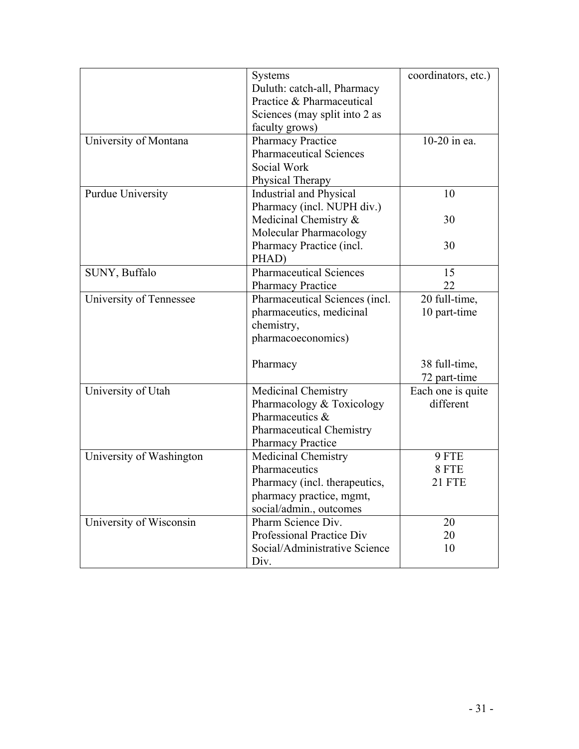|                          | Systems                                       | coordinators, etc.) |
|--------------------------|-----------------------------------------------|---------------------|
|                          | Duluth: catch-all, Pharmacy                   |                     |
|                          | Practice & Pharmaceutical                     |                     |
|                          | Sciences (may split into 2 as                 |                     |
|                          | faculty grows)                                |                     |
| University of Montana    | <b>Pharmacy Practice</b>                      | 10-20 in ea.        |
|                          | <b>Pharmaceutical Sciences</b>                |                     |
|                          | Social Work                                   |                     |
|                          | Physical Therapy                              |                     |
| Purdue University        | Industrial and Physical                       | 10                  |
|                          | Pharmacy (incl. NUPH div.)                    |                     |
|                          | Medicinal Chemistry &                         | 30                  |
|                          | Molecular Pharmacology                        |                     |
|                          | Pharmacy Practice (incl.                      | 30                  |
|                          | PHAD)                                         |                     |
| SUNY, Buffalo            | <b>Pharmaceutical Sciences</b>                | 15                  |
|                          | <b>Pharmacy Practice</b>                      | 22                  |
| University of Tennessee  | Pharmaceutical Sciences (incl.                | 20 full-time,       |
|                          | pharmaceutics, medicinal                      | 10 part-time        |
|                          | chemistry,                                    |                     |
|                          | pharmacoeconomics)                            |                     |
|                          |                                               |                     |
|                          | Pharmacy                                      | 38 full-time,       |
|                          |                                               | 72 part-time        |
| University of Utah       | Medicinal Chemistry                           | Each one is quite   |
|                          | Pharmacology & Toxicology                     | different           |
|                          | Pharmaceutics &                               |                     |
|                          | <b>Pharmaceutical Chemistry</b>               |                     |
|                          | <b>Pharmacy Practice</b>                      |                     |
| University of Washington | Medicinal Chemistry                           | 9 FTE               |
|                          | Pharmaceutics                                 | 8 FTE               |
|                          | Pharmacy (incl. therapeutics,                 | 21 FTE              |
|                          |                                               |                     |
|                          | pharmacy practice, mgmt,                      |                     |
|                          | social/admin., outcomes<br>Pharm Science Div. | 20                  |
| University of Wisconsin  | Professional Practice Div                     |                     |
|                          |                                               | 20                  |
|                          | Social/Administrative Science                 | 10                  |
|                          | Div.                                          |                     |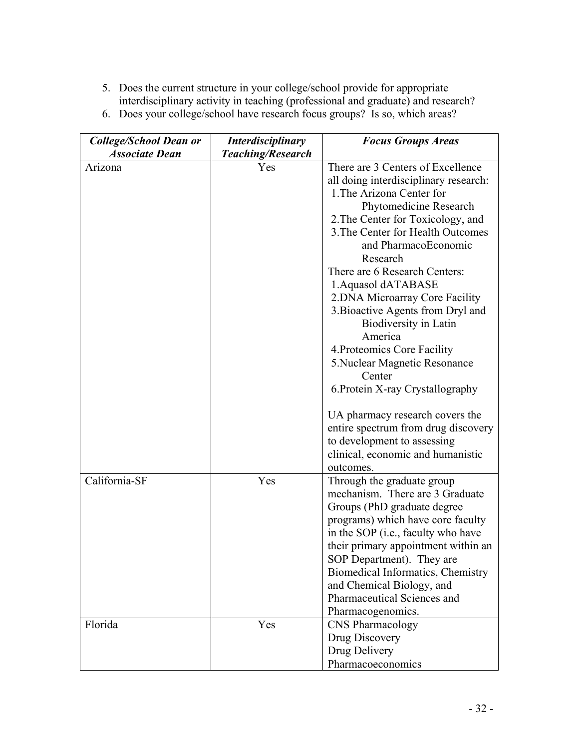- 5. Does the current structure in your college/school provide for appropriate interdisciplinary activity in teaching (professional and graduate) and research?
- 6. Does your college/school have research focus groups? Is so, which areas?

| <b>College/School Dean or</b> | <b>Interdisciplinary</b> | <b>Focus Groups Areas</b>             |
|-------------------------------|--------------------------|---------------------------------------|
| <b>Associate Dean</b>         | <b>Teaching/Research</b> |                                       |
| Arizona                       | Yes                      | There are 3 Centers of Excellence     |
|                               |                          | all doing interdisciplinary research: |
|                               |                          | 1. The Arizona Center for             |
|                               |                          | Phytomedicine Research                |
|                               |                          | 2. The Center for Toxicology, and     |
|                               |                          | 3. The Center for Health Outcomes     |
|                               |                          | and PharmacoEconomic                  |
|                               |                          | Research                              |
|                               |                          | There are 6 Research Centers:         |
|                               |                          | 1. Aquasol dATABASE                   |
|                               |                          | 2. DNA Microarray Core Facility       |
|                               |                          | 3. Bioactive Agents from Dryl and     |
|                               |                          | Biodiversity in Latin                 |
|                               |                          | America                               |
|                               |                          | 4. Proteomics Core Facility           |
|                               |                          | 5. Nuclear Magnetic Resonance         |
|                               |                          | Center                                |
|                               |                          | 6. Protein X-ray Crystallography      |
|                               |                          | UA pharmacy research covers the       |
|                               |                          | entire spectrum from drug discovery   |
|                               |                          | to development to assessing           |
|                               |                          | clinical, economic and humanistic     |
|                               |                          | outcomes.                             |
| California-SF                 | Yes                      | Through the graduate group            |
|                               |                          | mechanism. There are 3 Graduate       |
|                               |                          | Groups (PhD graduate degree           |
|                               |                          | programs) which have core faculty     |
|                               |                          | in the SOP (i.e., faculty who have    |
|                               |                          | their primary appointment within an   |
|                               |                          | SOP Department). They are             |
|                               |                          | Biomedical Informatics, Chemistry     |
|                               |                          | and Chemical Biology, and             |
|                               |                          | Pharmaceutical Sciences and           |
|                               |                          | Pharmacogenomics.                     |
| Florida                       | Yes                      | <b>CNS</b> Pharmacology               |
|                               |                          | Drug Discovery                        |
|                               |                          | Drug Delivery                         |
|                               |                          | Pharmacoeconomics                     |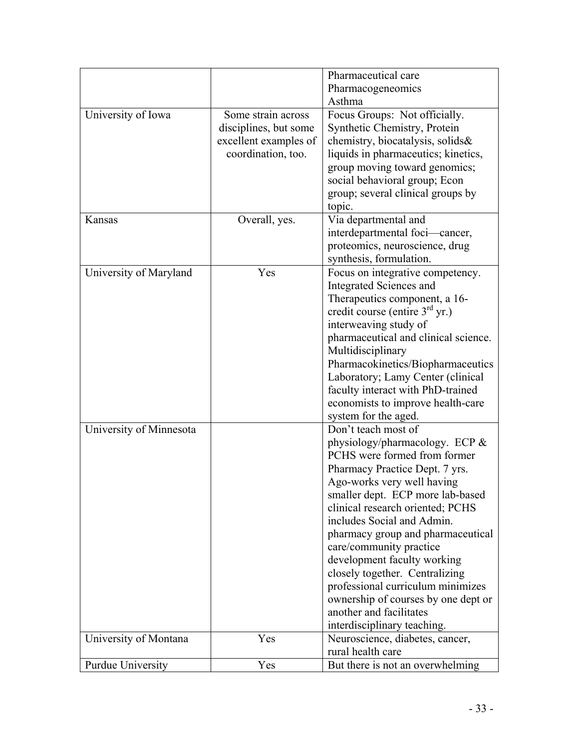|                         |                       | Pharmaceutical care                  |
|-------------------------|-----------------------|--------------------------------------|
|                         |                       | Pharmacogeneomics                    |
|                         |                       | Asthma                               |
| University of Iowa      | Some strain across    | Focus Groups: Not officially.        |
|                         | disciplines, but some | Synthetic Chemistry, Protein         |
|                         | excellent examples of | chemistry, biocatalysis, solids&     |
|                         | coordination, too.    | liquids in pharmaceutics; kinetics,  |
|                         |                       | group moving toward genomics;        |
|                         |                       | social behavioral group; Econ        |
|                         |                       | group; several clinical groups by    |
|                         |                       | topic.                               |
| Kansas                  | Overall, yes.         | Via departmental and                 |
|                         |                       | interdepartmental foci—cancer,       |
|                         |                       | proteomics, neuroscience, drug       |
|                         |                       | synthesis, formulation.              |
| University of Maryland  | Yes                   | Focus on integrative competency.     |
|                         |                       | Integrated Sciences and              |
|                         |                       | Therapeutics component, a 16-        |
|                         |                       | credit course (entire $3rd$ yr.)     |
|                         |                       | interweaving study of                |
|                         |                       | pharmaceutical and clinical science. |
|                         |                       |                                      |
|                         |                       | Multidisciplinary                    |
|                         |                       | Pharmacokinetics/Biopharmaceutics    |
|                         |                       | Laboratory; Lamy Center (clinical    |
|                         |                       | faculty interact with PhD-trained    |
|                         |                       | economists to improve health-care    |
|                         |                       | system for the aged.                 |
| University of Minnesota |                       | Don't teach most of                  |
|                         |                       | physiology/pharmacology. ECP &       |
|                         |                       | PCHS were formed from former         |
|                         |                       | Pharmacy Practice Dept. 7 yrs.       |
|                         |                       | Ago-works very well having           |
|                         |                       | smaller dept. ECP more lab-based     |
|                         |                       | clinical research oriented; PCHS     |
|                         |                       | includes Social and Admin.           |
|                         |                       | pharmacy group and pharmaceutical    |
|                         |                       | care/community practice              |
|                         |                       | development faculty working          |
|                         |                       | closely together. Centralizing       |
|                         |                       | professional curriculum minimizes    |
|                         |                       | ownership of courses by one dept or  |
|                         |                       | another and facilitates              |
|                         |                       | interdisciplinary teaching.          |
| University of Montana   | Yes                   | Neuroscience, diabetes, cancer,      |
|                         |                       | rural health care                    |
| Purdue University       | Yes                   | But there is not an overwhelming     |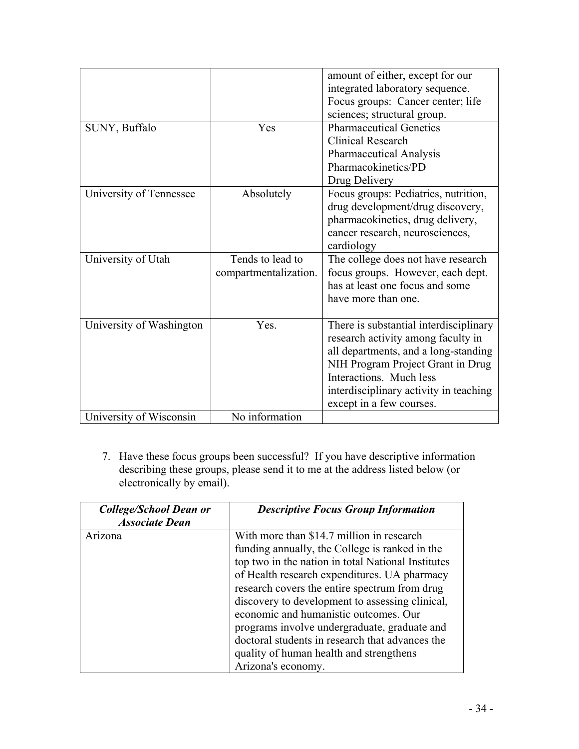|                          |                       | amount of either, except for our       |
|--------------------------|-----------------------|----------------------------------------|
|                          |                       | integrated laboratory sequence.        |
|                          |                       | Focus groups: Cancer center; life      |
|                          |                       | sciences; structural group.            |
| SUNY, Buffalo            | Yes                   | <b>Pharmaceutical Genetics</b>         |
|                          |                       | <b>Clinical Research</b>               |
|                          |                       | <b>Pharmaceutical Analysis</b>         |
|                          |                       | Pharmacokinetics/PD                    |
|                          |                       | Drug Delivery                          |
| University of Tennessee  | Absolutely            | Focus groups: Pediatrics, nutrition,   |
|                          |                       | drug development/drug discovery,       |
|                          |                       | pharmacokinetics, drug delivery,       |
|                          |                       | cancer research, neurosciences,        |
|                          |                       | cardiology                             |
| University of Utah       | Tends to lead to      | The college does not have research     |
|                          | compartmentalization. | focus groups. However, each dept.      |
|                          |                       | has at least one focus and some        |
|                          |                       | have more than one.                    |
|                          |                       |                                        |
| University of Washington | Yes.                  | There is substantial interdisciplinary |
|                          |                       | research activity among faculty in     |
|                          |                       | all departments, and a long-standing   |
|                          |                       | NIH Program Project Grant in Drug      |
|                          |                       | Interactions. Much less                |
|                          |                       | interdisciplinary activity in teaching |
|                          |                       | except in a few courses.               |
| University of Wisconsin  | No information        |                                        |

7. Have these focus groups been successful? If you have descriptive information describing these groups, please send it to me at the address listed below (or electronically by email).

| College/School Dean or | <b>Descriptive Focus Group Information</b>         |
|------------------------|----------------------------------------------------|
| <b>Associate Dean</b>  |                                                    |
| Arizona                | With more than \$14.7 million in research          |
|                        | funding annually, the College is ranked in the     |
|                        | top two in the nation in total National Institutes |
|                        | of Health research expenditures. UA pharmacy       |
|                        | research covers the entire spectrum from drug      |
|                        | discovery to development to assessing clinical,    |
|                        | economic and humanistic outcomes. Our              |
|                        | programs involve undergraduate, graduate and       |
|                        | doctoral students in research that advances the    |
|                        | quality of human health and strengthens            |
|                        | Arizona's economy.                                 |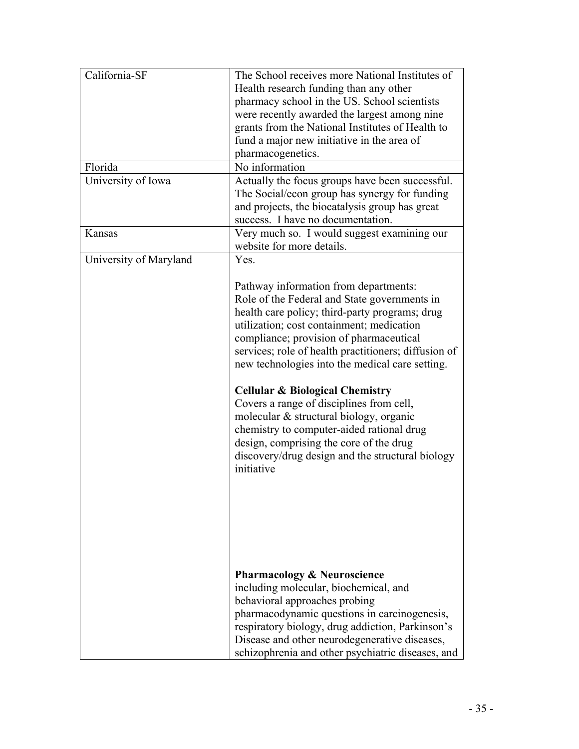| California-SF          | The School receives more National Institutes of      |
|------------------------|------------------------------------------------------|
|                        | Health research funding than any other               |
|                        | pharmacy school in the US. School scientists         |
|                        | were recently awarded the largest among nine         |
|                        | grants from the National Institutes of Health to     |
|                        | fund a major new initiative in the area of           |
|                        | pharmacogenetics.                                    |
|                        |                                                      |
| Florida                | No information                                       |
| University of Iowa     | Actually the focus groups have been successful.      |
|                        | The Social/econ group has synergy for funding        |
|                        | and projects, the biocatalysis group has great       |
|                        | success. I have no documentation.                    |
| Kansas                 | Very much so. I would suggest examining our          |
|                        | website for more details.                            |
| University of Maryland | Yes.                                                 |
|                        |                                                      |
|                        | Pathway information from departments:                |
|                        | Role of the Federal and State governments in         |
|                        | health care policy; third-party programs; drug       |
|                        | utilization; cost containment; medication            |
|                        | compliance; provision of pharmaceutical              |
|                        |                                                      |
|                        | services; role of health practitioners; diffusion of |
|                        | new technologies into the medical care setting.      |
|                        |                                                      |
|                        | <b>Cellular &amp; Biological Chemistry</b>           |
|                        | Covers a range of disciplines from cell,             |
|                        | molecular & structural biology, organic              |
|                        | chemistry to computer-aided rational drug            |
|                        | design, comprising the core of the drug              |
|                        | discovery/drug design and the structural biology     |
|                        | initiative                                           |
|                        |                                                      |
|                        |                                                      |
|                        |                                                      |
|                        |                                                      |
|                        |                                                      |
|                        |                                                      |
|                        |                                                      |
|                        | <b>Pharmacology &amp; Neuroscience</b>               |
|                        | including molecular, biochemical, and                |
|                        | behavioral approaches probing                        |
|                        | pharmacodynamic questions in carcinogenesis,         |
|                        |                                                      |
|                        | respiratory biology, drug addiction, Parkinson's     |
|                        | Disease and other neurodegenerative diseases,        |
|                        | schizophrenia and other psychiatric diseases, and    |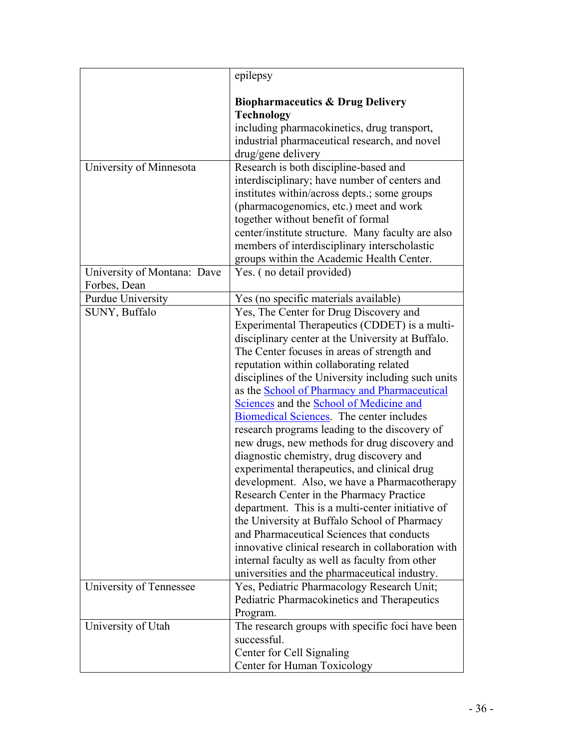| <b>Technology</b><br>University of Minnesota | <b>Biopharmaceutics &amp; Drug Delivery</b><br>including pharmacokinetics, drug transport,<br>industrial pharmaceutical research, and novel<br>drug/gene delivery<br>Research is both discipline-based and<br>interdisciplinary; have number of centers and<br>institutes within/across depts.; some groups<br>(pharmacogenomics, etc.) meet and work<br>together without benefit of formal<br>center/institute structure. Many faculty are also<br>members of interdisciplinary interscholastic<br>groups within the Academic Health Center. |
|----------------------------------------------|-----------------------------------------------------------------------------------------------------------------------------------------------------------------------------------------------------------------------------------------------------------------------------------------------------------------------------------------------------------------------------------------------------------------------------------------------------------------------------------------------------------------------------------------------|
|                                              |                                                                                                                                                                                                                                                                                                                                                                                                                                                                                                                                               |
|                                              |                                                                                                                                                                                                                                                                                                                                                                                                                                                                                                                                               |
|                                              |                                                                                                                                                                                                                                                                                                                                                                                                                                                                                                                                               |
|                                              |                                                                                                                                                                                                                                                                                                                                                                                                                                                                                                                                               |
|                                              |                                                                                                                                                                                                                                                                                                                                                                                                                                                                                                                                               |
|                                              |                                                                                                                                                                                                                                                                                                                                                                                                                                                                                                                                               |
|                                              |                                                                                                                                                                                                                                                                                                                                                                                                                                                                                                                                               |
|                                              |                                                                                                                                                                                                                                                                                                                                                                                                                                                                                                                                               |
|                                              |                                                                                                                                                                                                                                                                                                                                                                                                                                                                                                                                               |
|                                              |                                                                                                                                                                                                                                                                                                                                                                                                                                                                                                                                               |
|                                              |                                                                                                                                                                                                                                                                                                                                                                                                                                                                                                                                               |
|                                              |                                                                                                                                                                                                                                                                                                                                                                                                                                                                                                                                               |
|                                              |                                                                                                                                                                                                                                                                                                                                                                                                                                                                                                                                               |
| University of Montana: Dave                  | Yes. (no detail provided)                                                                                                                                                                                                                                                                                                                                                                                                                                                                                                                     |
| Forbes, Dean                                 |                                                                                                                                                                                                                                                                                                                                                                                                                                                                                                                                               |
| <b>Purdue University</b>                     | Yes (no specific materials available)                                                                                                                                                                                                                                                                                                                                                                                                                                                                                                         |
| SUNY, Buffalo                                | Yes, The Center for Drug Discovery and                                                                                                                                                                                                                                                                                                                                                                                                                                                                                                        |
|                                              | Experimental Therapeutics (CDDET) is a multi-                                                                                                                                                                                                                                                                                                                                                                                                                                                                                                 |
|                                              | disciplinary center at the University at Buffalo.                                                                                                                                                                                                                                                                                                                                                                                                                                                                                             |
|                                              | The Center focuses in areas of strength and                                                                                                                                                                                                                                                                                                                                                                                                                                                                                                   |
|                                              | reputation within collaborating related                                                                                                                                                                                                                                                                                                                                                                                                                                                                                                       |
|                                              | disciplines of the University including such units                                                                                                                                                                                                                                                                                                                                                                                                                                                                                            |
|                                              | as the School of Pharmacy and Pharmaceutical                                                                                                                                                                                                                                                                                                                                                                                                                                                                                                  |
|                                              | Sciences and the School of Medicine and                                                                                                                                                                                                                                                                                                                                                                                                                                                                                                       |
|                                              | Biomedical Sciences. The center includes                                                                                                                                                                                                                                                                                                                                                                                                                                                                                                      |
|                                              | research programs leading to the discovery of                                                                                                                                                                                                                                                                                                                                                                                                                                                                                                 |
|                                              | new drugs, new methods for drug discovery and                                                                                                                                                                                                                                                                                                                                                                                                                                                                                                 |
|                                              | diagnostic chemistry, drug discovery and                                                                                                                                                                                                                                                                                                                                                                                                                                                                                                      |
|                                              | experimental therapeutics, and clinical drug                                                                                                                                                                                                                                                                                                                                                                                                                                                                                                  |
|                                              | development. Also, we have a Pharmacotherapy                                                                                                                                                                                                                                                                                                                                                                                                                                                                                                  |
|                                              | Research Center in the Pharmacy Practice                                                                                                                                                                                                                                                                                                                                                                                                                                                                                                      |
|                                              | department. This is a multi-center initiative of<br>the University at Buffalo School of Pharmacy                                                                                                                                                                                                                                                                                                                                                                                                                                              |
|                                              | and Pharmaceutical Sciences that conducts                                                                                                                                                                                                                                                                                                                                                                                                                                                                                                     |
|                                              | innovative clinical research in collaboration with                                                                                                                                                                                                                                                                                                                                                                                                                                                                                            |
|                                              | internal faculty as well as faculty from other                                                                                                                                                                                                                                                                                                                                                                                                                                                                                                |
|                                              | universities and the pharmaceutical industry.                                                                                                                                                                                                                                                                                                                                                                                                                                                                                                 |
| University of Tennessee                      | Yes, Pediatric Pharmacology Research Unit;                                                                                                                                                                                                                                                                                                                                                                                                                                                                                                    |
|                                              | Pediatric Pharmacokinetics and Therapeutics                                                                                                                                                                                                                                                                                                                                                                                                                                                                                                   |
| Program.                                     |                                                                                                                                                                                                                                                                                                                                                                                                                                                                                                                                               |
| University of Utah                           | The research groups with specific foci have been                                                                                                                                                                                                                                                                                                                                                                                                                                                                                              |
| successful.                                  |                                                                                                                                                                                                                                                                                                                                                                                                                                                                                                                                               |
|                                              |                                                                                                                                                                                                                                                                                                                                                                                                                                                                                                                                               |
| Center for Human Toxicology                  |                                                                                                                                                                                                                                                                                                                                                                                                                                                                                                                                               |
|                                              | Center for Cell Signaling                                                                                                                                                                                                                                                                                                                                                                                                                                                                                                                     |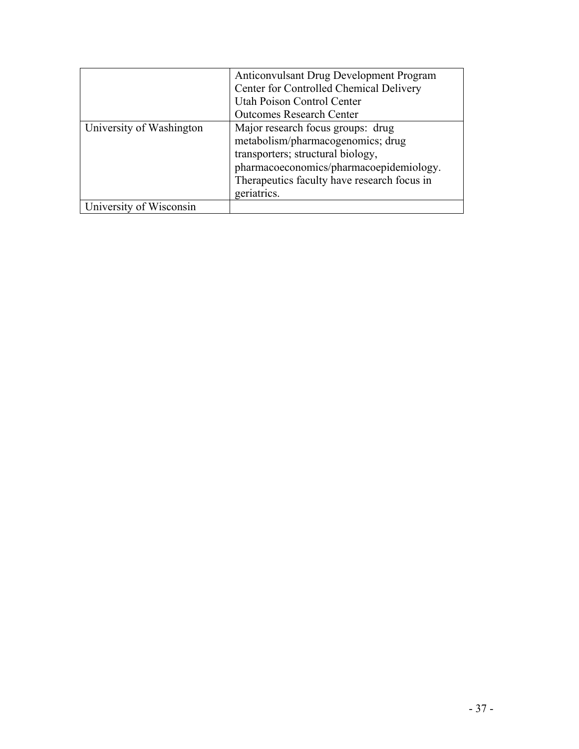|                          | Anticonvulsant Drug Development Program<br>Center for Controlled Chemical Delivery<br>Utah Poison Control Center<br><b>Outcomes Research Center</b>                                                                  |
|--------------------------|----------------------------------------------------------------------------------------------------------------------------------------------------------------------------------------------------------------------|
| University of Washington | Major research focus groups: drug<br>metabolism/pharmacogenomics; drug<br>transporters; structural biology,<br>pharmacoeconomics/pharmacoepidemiology.<br>Therapeutics faculty have research focus in<br>geriatrics. |
| University of Wisconsin  |                                                                                                                                                                                                                      |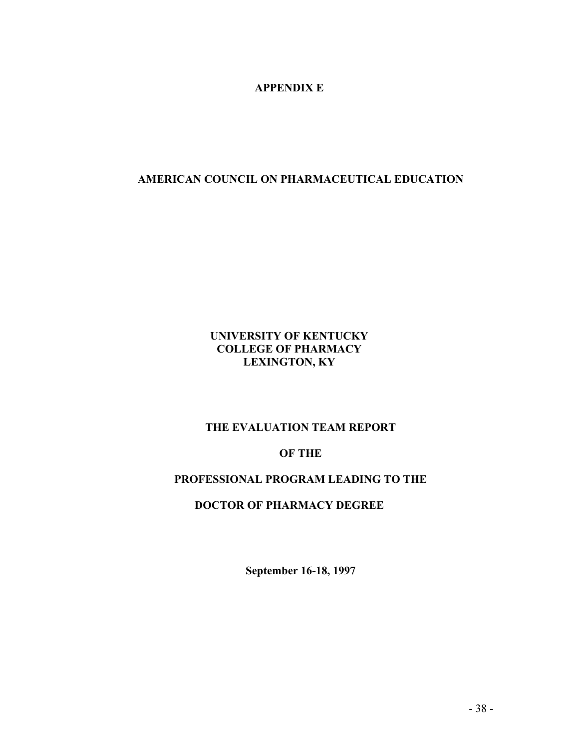#### **APPENDIX E**

#### **AMERICAN COUNCIL ON PHARMACEUTICAL EDUCATION**

#### **UNIVERSITY OF KENTUCKY COLLEGE OF PHARMACY LEXINGTON, KY**

#### **THE EVALUATION TEAM REPORT**

#### **OF THE**

## **PROFESSIONAL PROGRAM LEADING TO THE**

#### **DOCTOR OF PHARMACY DEGREE**

 **September 16-18, 1997**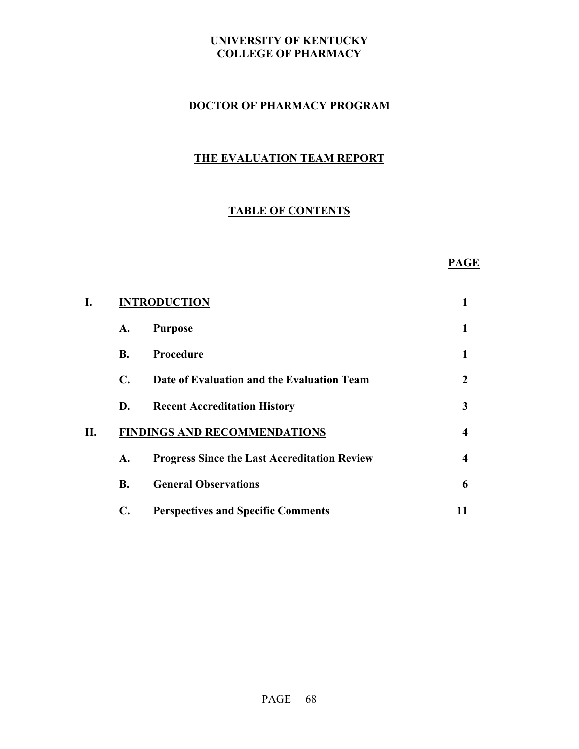### **DOCTOR OF PHARMACY PROGRAM**

# **THE EVALUATION TEAM REPORT**

# **TABLE OF CONTENTS**

#### **PAGE**

| I. | <b>INTRODUCTION</b>                 |                                                     |    |
|----|-------------------------------------|-----------------------------------------------------|----|
|    | A.                                  | <b>Purpose</b>                                      | 1  |
|    | <b>B.</b>                           | Procedure                                           | 1  |
|    | $\mathbf{C}$ .                      | Date of Evaluation and the Evaluation Team          | 2  |
|    | D.                                  | <b>Recent Accreditation History</b>                 | 3  |
| П. | <b>FINDINGS AND RECOMMENDATIONS</b> |                                                     |    |
|    | A.                                  | <b>Progress Since the Last Accreditation Review</b> | 4  |
|    | B.                                  | <b>General Observations</b>                         | 6  |
|    | $\mathbf{C}$ .                      | <b>Perspectives and Specific Comments</b>           | 11 |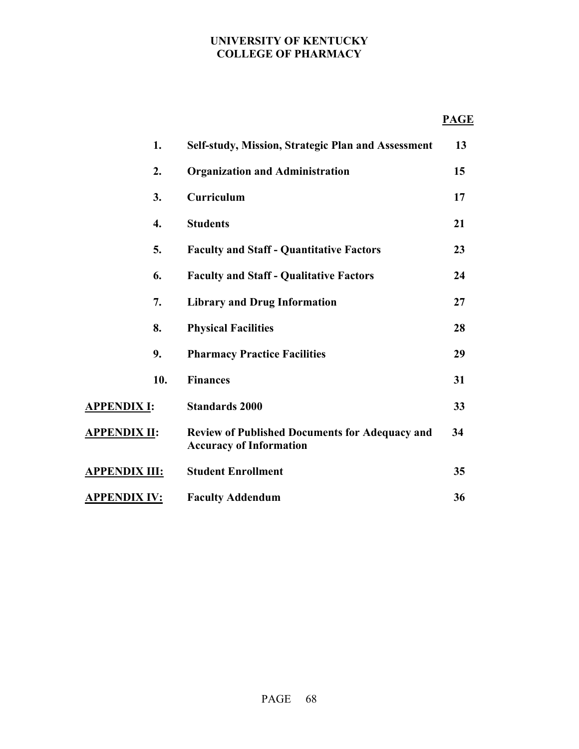### **PAGE**

|                      | 1.  | Self-study, Mission, Strategic Plan and Assessment                                      | 13 |
|----------------------|-----|-----------------------------------------------------------------------------------------|----|
|                      | 2.  | <b>Organization and Administration</b>                                                  | 15 |
|                      | 3.  | Curriculum                                                                              | 17 |
|                      | 4.  | <b>Students</b>                                                                         | 21 |
|                      | 5.  | <b>Faculty and Staff - Quantitative Factors</b>                                         | 23 |
|                      | 6.  | <b>Faculty and Staff - Qualitative Factors</b>                                          | 24 |
|                      | 7.  | <b>Library and Drug Information</b>                                                     | 27 |
|                      | 8.  | <b>Physical Facilities</b>                                                              | 28 |
|                      | 9.  | <b>Pharmacy Practice Facilities</b>                                                     | 29 |
|                      | 10. | <b>Finances</b>                                                                         | 31 |
| <b>APPENDIX I:</b>   |     | <b>Standards 2000</b>                                                                   | 33 |
| <u>APPENDIX II:</u>  |     | <b>Review of Published Documents for Adequacy and</b><br><b>Accuracy of Information</b> | 34 |
| <u>APPENDIX III:</u> |     | <b>Student Enrollment</b>                                                               | 35 |
| <u>APPENDIX IV:</u>  |     | <b>Faculty Addendum</b>                                                                 | 36 |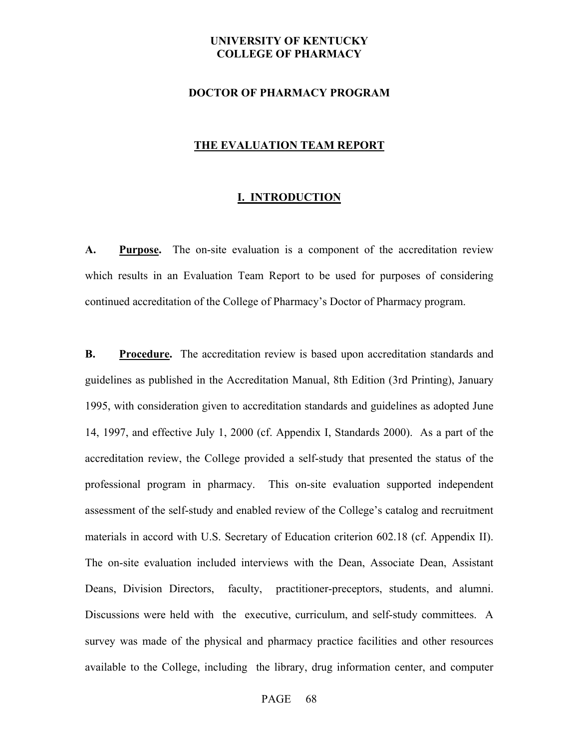#### **DOCTOR OF PHARMACY PROGRAM**

#### **THE EVALUATION TEAM REPORT**

#### **I. INTRODUCTION**

A. Purpose. The on-site evaluation is a component of the accreditation review which results in an Evaluation Team Report to be used for purposes of considering continued accreditation of the College of Pharmacy's Doctor of Pharmacy program.

**B.** Procedure. The accreditation review is based upon accreditation standards and guidelines as published in the Accreditation Manual, 8th Edition (3rd Printing), January 1995, with consideration given to accreditation standards and guidelines as adopted June 14, 1997, and effective July 1, 2000 (cf. Appendix I, Standards 2000). As a part of the accreditation review, the College provided a self-study that presented the status of the professional program in pharmacy. This on-site evaluation supported independent assessment of the self-study and enabled review of the College's catalog and recruitment materials in accord with U.S. Secretary of Education criterion 602.18 (cf. Appendix II). The on-site evaluation included interviews with the Dean, Associate Dean, Assistant Deans, Division Directors, faculty, practitioner-preceptors, students, and alumni. Discussions were held with the executive, curriculum, and self-study committees. A survey was made of the physical and pharmacy practice facilities and other resources available to the College, including the library, drug information center, and computer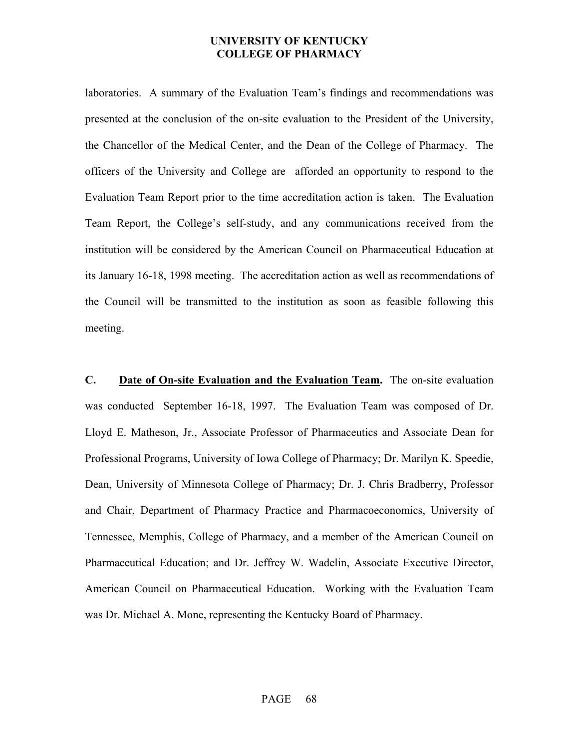laboratories. A summary of the Evaluation Team's findings and recommendations was presented at the conclusion of the on-site evaluation to the President of the University, the Chancellor of the Medical Center, and the Dean of the College of Pharmacy. The officers of the University and College are afforded an opportunity to respond to the Evaluation Team Report prior to the time accreditation action is taken. The Evaluation Team Report, the College's self-study, and any communications received from the institution will be considered by the American Council on Pharmaceutical Education at its January 16-18, 1998 meeting. The accreditation action as well as recommendations of the Council will be transmitted to the institution as soon as feasible following this meeting.

**C. Date of On-site Evaluation and the Evaluation Team.** The on-site evaluation was conducted September 16-18, 1997. The Evaluation Team was composed of Dr. Lloyd E. Matheson, Jr., Associate Professor of Pharmaceutics and Associate Dean for Professional Programs, University of Iowa College of Pharmacy; Dr. Marilyn K. Speedie, Dean, University of Minnesota College of Pharmacy; Dr. J. Chris Bradberry, Professor and Chair, Department of Pharmacy Practice and Pharmacoeconomics, University of Tennessee, Memphis, College of Pharmacy, and a member of the American Council on Pharmaceutical Education; and Dr. Jeffrey W. Wadelin, Associate Executive Director, American Council on Pharmaceutical Education. Working with the Evaluation Team was Dr. Michael A. Mone, representing the Kentucky Board of Pharmacy.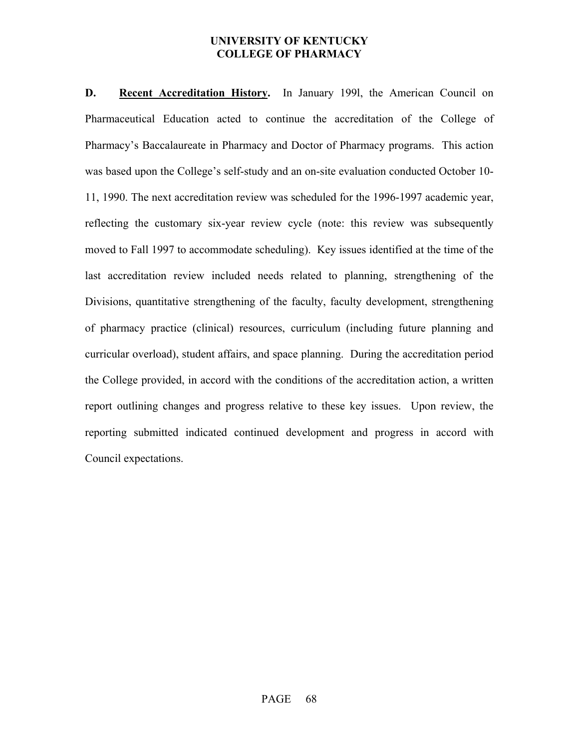**D. Recent Accreditation History.** In January 199l, the American Council on Pharmaceutical Education acted to continue the accreditation of the College of Pharmacy's Baccalaureate in Pharmacy and Doctor of Pharmacy programs. This action was based upon the College's self-study and an on-site evaluation conducted October 10- 11, 1990. The next accreditation review was scheduled for the 1996-1997 academic year, reflecting the customary six-year review cycle (note: this review was subsequently moved to Fall 1997 to accommodate scheduling). Key issues identified at the time of the last accreditation review included needs related to planning, strengthening of the Divisions, quantitative strengthening of the faculty, faculty development, strengthening of pharmacy practice (clinical) resources, curriculum (including future planning and curricular overload), student affairs, and space planning. During the accreditation period the College provided, in accord with the conditions of the accreditation action, a written report outlining changes and progress relative to these key issues. Upon review, the reporting submitted indicated continued development and progress in accord with Council expectations.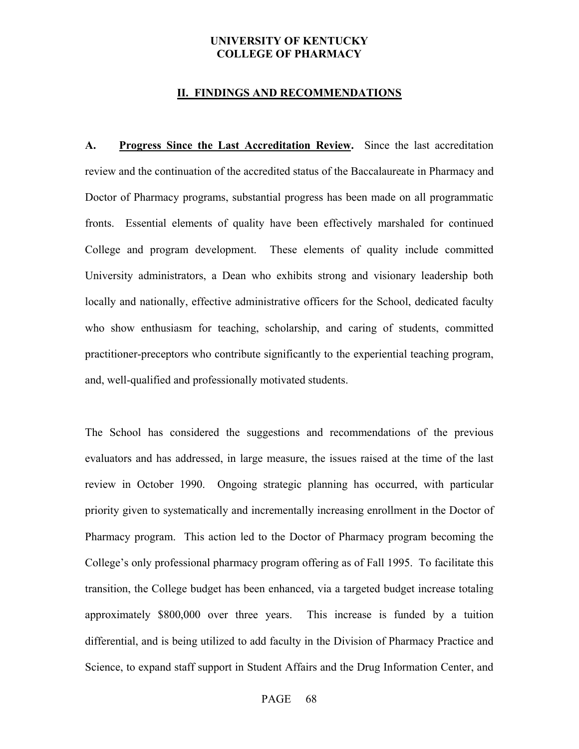#### **II. FINDINGS AND RECOMMENDATIONS**

**A. Progress Since the Last Accreditation Review.** Since the last accreditation review and the continuation of the accredited status of the Baccalaureate in Pharmacy and Doctor of Pharmacy programs, substantial progress has been made on all programmatic fronts. Essential elements of quality have been effectively marshaled for continued College and program development. These elements of quality include committed University administrators, a Dean who exhibits strong and visionary leadership both locally and nationally, effective administrative officers for the School, dedicated faculty who show enthusiasm for teaching, scholarship, and caring of students, committed practitioner-preceptors who contribute significantly to the experiential teaching program, and, well-qualified and professionally motivated students.

The School has considered the suggestions and recommendations of the previous evaluators and has addressed, in large measure, the issues raised at the time of the last review in October 1990. Ongoing strategic planning has occurred, with particular priority given to systematically and incrementally increasing enrollment in the Doctor of Pharmacy program. This action led to the Doctor of Pharmacy program becoming the College's only professional pharmacy program offering as of Fall 1995. To facilitate this transition, the College budget has been enhanced, via a targeted budget increase totaling approximately \$800,000 over three years. This increase is funded by a tuition differential, and is being utilized to add faculty in the Division of Pharmacy Practice and Science, to expand staff support in Student Affairs and the Drug Information Center, and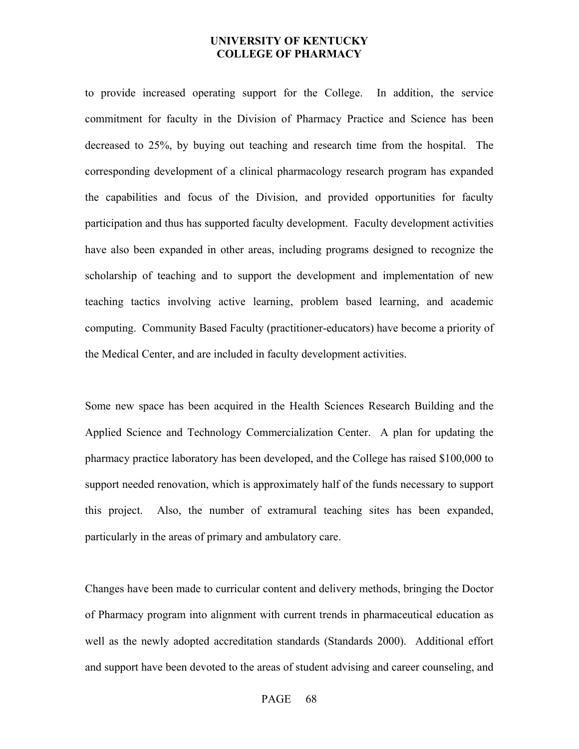to provide increased operating support for the College. In addition, the service commitment for faculty in the Division of Pharmacy Practice and Science has been decreased to 25%, by buying out teaching and research time from the hospital. The corresponding development of a clinical pharmacology research program has expanded the capabilities and focus of the Division, and provided opportunities for faculty participation and thus has supported faculty development. Faculty development activities have also been expanded in other areas, including programs designed to recognize the scholarship of teaching and to support the development and implementation of new teaching tactics involving active learning, problem based learning, and academic computing. Community Based Faculty (practitioner-educators) have become a priority of the Medical Center, and are included in faculty development activities.

Some new space has been acquired in the Health Sciences Research Building and the Applied Science and Technology Commercialization Center. A plan for updating the pharmacy practice laboratory has been developed, and the College has raised \$100,000 to support needed renovation, which is approximately half of the funds necessary to support this project. Also, the number of extramural teaching sites has been expanded, particularly in the areas of primary and ambulatory care.

Changes have been made to curricular content and delivery methods, bringing the Doctor of Pharmacy program into alignment with current trends in pharmaceutical education as well as the newly adopted accreditation standards (Standards 2000). Additional effort and support have been devoted to the areas of student advising and career counseling, and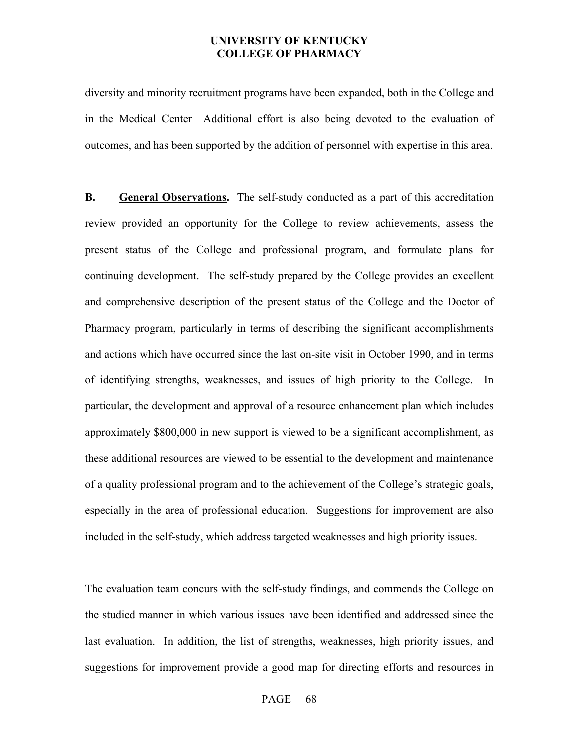diversity and minority recruitment programs have been expanded, both in the College and in the Medical Center Additional effort is also being devoted to the evaluation of outcomes, and has been supported by the addition of personnel with expertise in this area.

**B.** General Observations. The self-study conducted as a part of this accreditation review provided an opportunity for the College to review achievements, assess the present status of the College and professional program, and formulate plans for continuing development. The self-study prepared by the College provides an excellent and comprehensive description of the present status of the College and the Doctor of Pharmacy program, particularly in terms of describing the significant accomplishments and actions which have occurred since the last on-site visit in October 1990, and in terms of identifying strengths, weaknesses, and issues of high priority to the College. In particular, the development and approval of a resource enhancement plan which includes approximately \$800,000 in new support is viewed to be a significant accomplishment, as these additional resources are viewed to be essential to the development and maintenance of a quality professional program and to the achievement of the College's strategic goals, especially in the area of professional education. Suggestions for improvement are also included in the self-study, which address targeted weaknesses and high priority issues.

The evaluation team concurs with the self-study findings, and commends the College on the studied manner in which various issues have been identified and addressed since the last evaluation. In addition, the list of strengths, weaknesses, high priority issues, and suggestions for improvement provide a good map for directing efforts and resources in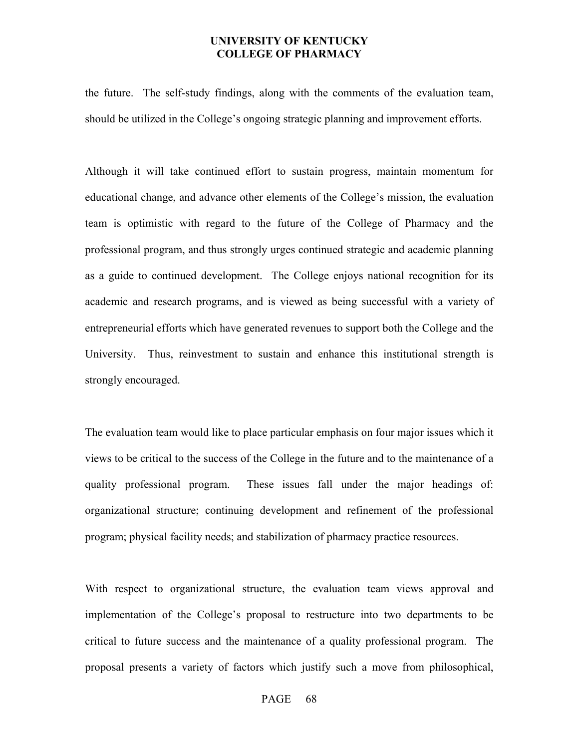the future. The self-study findings, along with the comments of the evaluation team, should be utilized in the College's ongoing strategic planning and improvement efforts.

Although it will take continued effort to sustain progress, maintain momentum for educational change, and advance other elements of the College's mission, the evaluation team is optimistic with regard to the future of the College of Pharmacy and the professional program, and thus strongly urges continued strategic and academic planning as a guide to continued development. The College enjoys national recognition for its academic and research programs, and is viewed as being successful with a variety of entrepreneurial efforts which have generated revenues to support both the College and the University. Thus, reinvestment to sustain and enhance this institutional strength is strongly encouraged.

The evaluation team would like to place particular emphasis on four major issues which it views to be critical to the success of the College in the future and to the maintenance of a quality professional program. These issues fall under the major headings of: organizational structure; continuing development and refinement of the professional program; physical facility needs; and stabilization of pharmacy practice resources.

With respect to organizational structure, the evaluation team views approval and implementation of the College's proposal to restructure into two departments to be critical to future success and the maintenance of a quality professional program. The proposal presents a variety of factors which justify such a move from philosophical,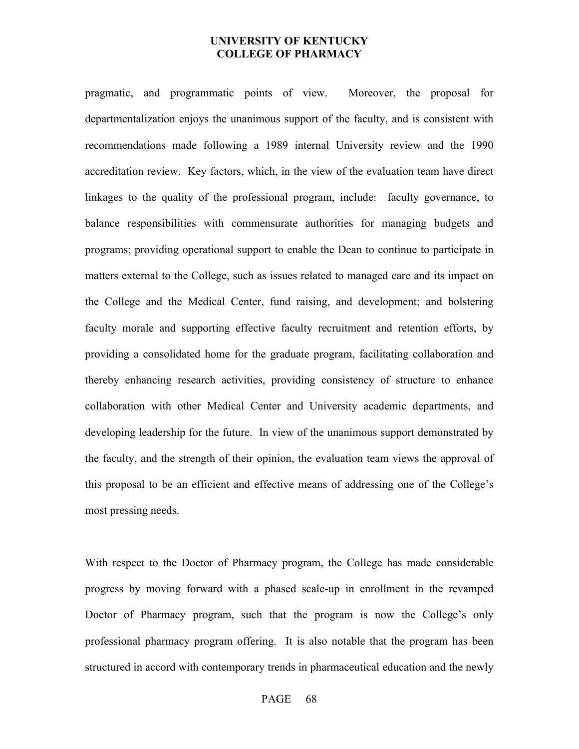pragmatic, and programmatic points of view. Moreover, the proposal for departmentalization enjoys the unanimous support of the faculty, and is consistent with recommendations made following a 1989 internal University review and the 1990 accreditation review. Key factors, which, in the view of the evaluation team have direct linkages to the quality of the professional program, include: faculty governance, to balance responsibilities with commensurate authorities for managing budgets and programs; providing operational support to enable the Dean to continue to participate in matters external to the College, such as issues related to managed care and its impact on the College and the Medical Center, fund raising, and development; and bolstering faculty morale and supporting effective faculty recruitment and retention efforts, by providing a consolidated home for the graduate program, facilitating collaboration and thereby enhancing research activities, providing consistency of structure to enhance collaboration with other Medical Center and University academic departments, and developing leadership for the future. In view of the unanimous support demonstrated by the faculty, and the strength of their opinion, the evaluation team views the approval of this proposal to be an efficient and effective means of addressing one of the College's most pressing needs.

With respect to the Doctor of Pharmacy program, the College has made considerable progress by moving forward with a phased scale-up in enrollment in the revamped Doctor of Pharmacy program, such that the program is now the College's only professional pharmacy program offering. It is also notable that the program has been structured in accord with contemporary trends in pharmaceutical education and the newly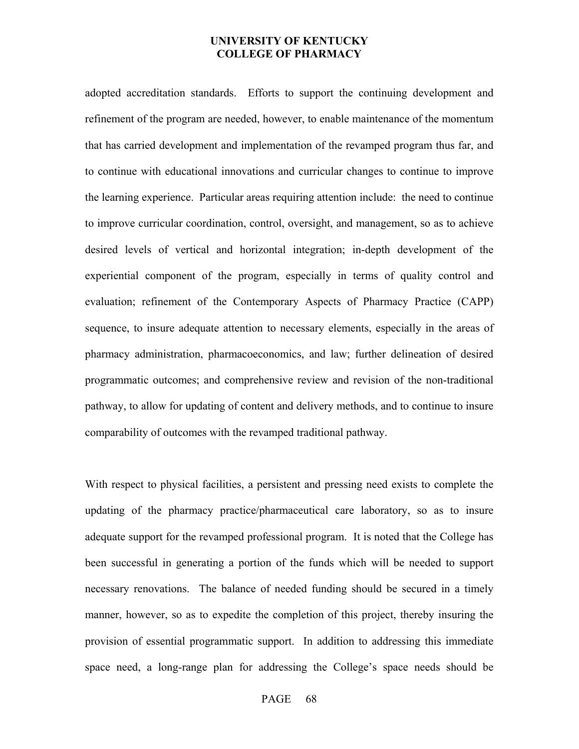adopted accreditation standards. Efforts to support the continuing development and refinement of the program are needed, however, to enable maintenance of the momentum that has carried development and implementation of the revamped program thus far, and to continue with educational innovations and curricular changes to continue to improve the learning experience. Particular areas requiring attention include: the need to continue to improve curricular coordination, control, oversight, and management, so as to achieve desired levels of vertical and horizontal integration; in-depth development of the experiential component of the program, especially in terms of quality control and evaluation; refinement of the Contemporary Aspects of Pharmacy Practice (CAPP) sequence, to insure adequate attention to necessary elements, especially in the areas of pharmacy administration, pharmacoeconomics, and law; further delineation of desired programmatic outcomes; and comprehensive review and revision of the non-traditional pathway, to allow for updating of content and delivery methods, and to continue to insure comparability of outcomes with the revamped traditional pathway.

With respect to physical facilities, a persistent and pressing need exists to complete the updating of the pharmacy practice/pharmaceutical care laboratory, so as to insure adequate support for the revamped professional program. It is noted that the College has been successful in generating a portion of the funds which will be needed to support necessary renovations. The balance of needed funding should be secured in a timely manner, however, so as to expedite the completion of this project, thereby insuring the provision of essential programmatic support. In addition to addressing this immediate space need, a long-range plan for addressing the College's space needs should be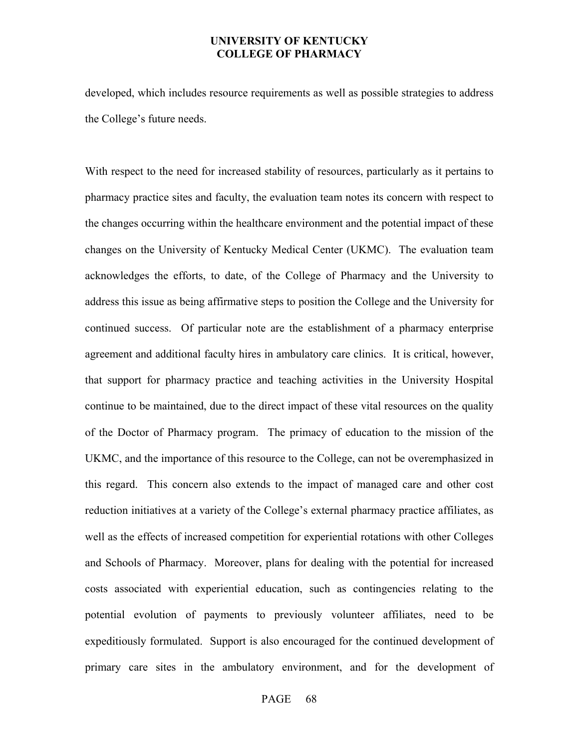developed, which includes resource requirements as well as possible strategies to address the College's future needs.

With respect to the need for increased stability of resources, particularly as it pertains to pharmacy practice sites and faculty, the evaluation team notes its concern with respect to the changes occurring within the healthcare environment and the potential impact of these changes on the University of Kentucky Medical Center (UKMC). The evaluation team acknowledges the efforts, to date, of the College of Pharmacy and the University to address this issue as being affirmative steps to position the College and the University for continued success. Of particular note are the establishment of a pharmacy enterprise agreement and additional faculty hires in ambulatory care clinics. It is critical, however, that support for pharmacy practice and teaching activities in the University Hospital continue to be maintained, due to the direct impact of these vital resources on the quality of the Doctor of Pharmacy program. The primacy of education to the mission of the UKMC, and the importance of this resource to the College, can not be overemphasized in this regard. This concern also extends to the impact of managed care and other cost reduction initiatives at a variety of the College's external pharmacy practice affiliates, as well as the effects of increased competition for experiential rotations with other Colleges and Schools of Pharmacy. Moreover, plans for dealing with the potential for increased costs associated with experiential education, such as contingencies relating to the potential evolution of payments to previously volunteer affiliates, need to be expeditiously formulated. Support is also encouraged for the continued development of primary care sites in the ambulatory environment, and for the development of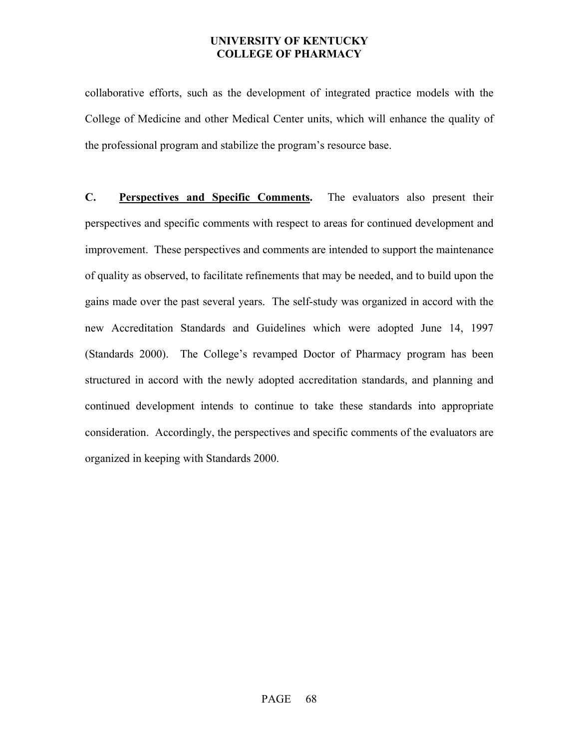collaborative efforts, such as the development of integrated practice models with the College of Medicine and other Medical Center units, which will enhance the quality of the professional program and stabilize the program's resource base.

**C. Perspectives and Specific Comments.** The evaluators also present their perspectives and specific comments with respect to areas for continued development and improvement. These perspectives and comments are intended to support the maintenance of quality as observed, to facilitate refinements that may be needed, and to build upon the gains made over the past several years. The self-study was organized in accord with the new Accreditation Standards and Guidelines which were adopted June 14, 1997 (Standards 2000). The College's revamped Doctor of Pharmacy program has been structured in accord with the newly adopted accreditation standards, and planning and continued development intends to continue to take these standards into appropriate consideration. Accordingly, the perspectives and specific comments of the evaluators are organized in keeping with Standards 2000.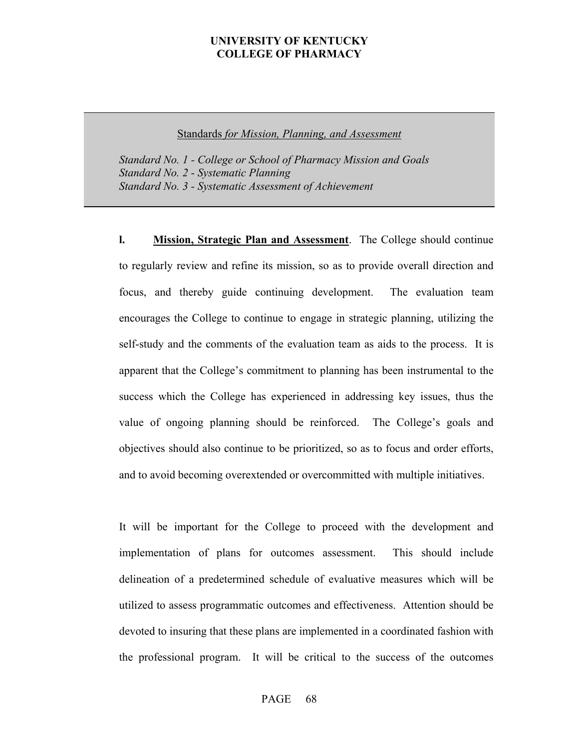Standards *for Mission, Planning, and Assessment*

 *Standard No. 1 - College or School of Pharmacy Mission and Goals Standard No. 2 - Systematic Planning Standard No. 3 - Systematic Assessment of Achievement* 

**l. Mission, Strategic Plan and Assessment**. The College should continue to regularly review and refine its mission, so as to provide overall direction and focus, and thereby guide continuing development. The evaluation team encourages the College to continue to engage in strategic planning, utilizing the self-study and the comments of the evaluation team as aids to the process. It is apparent that the College's commitment to planning has been instrumental to the success which the College has experienced in addressing key issues, thus the value of ongoing planning should be reinforced. The College's goals and objectives should also continue to be prioritized, so as to focus and order efforts, and to avoid becoming overextended or overcommitted with multiple initiatives.

It will be important for the College to proceed with the development and implementation of plans for outcomes assessment. This should include delineation of a predetermined schedule of evaluative measures which will be utilized to assess programmatic outcomes and effectiveness. Attention should be devoted to insuring that these plans are implemented in a coordinated fashion with the professional program. It will be critical to the success of the outcomes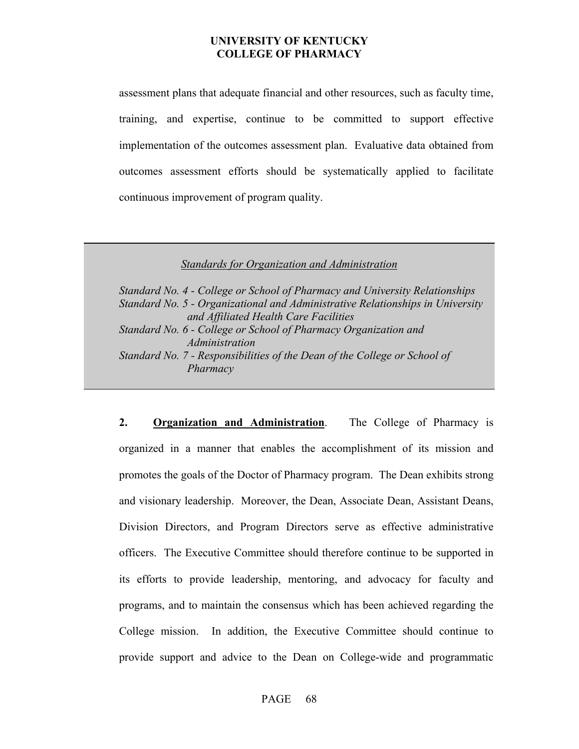assessment plans that adequate financial and other resources, such as faculty time, training, and expertise, continue to be committed to support effective implementation of the outcomes assessment plan. Evaluative data obtained from outcomes assessment efforts should be systematically applied to facilitate continuous improvement of program quality.

*Standards for Organization and Administration*

| Standard No. 4 - College or School of Pharmacy and University Relationships    |
|--------------------------------------------------------------------------------|
| Standard No. 5 - Organizational and Administrative Relationships in University |
| and Affiliated Health Care Facilities                                          |
| Standard No. 6 - College or School of Pharmacy Organization and                |
| Administration                                                                 |
| Standard No. 7 - Responsibilities of the Dean of the College or School of      |
| Pharmacy                                                                       |
|                                                                                |

**2. Organization and Administration**. The College of Pharmacy is organized in a manner that enables the accomplishment of its mission and promotes the goals of the Doctor of Pharmacy program. The Dean exhibits strong and visionary leadership. Moreover, the Dean, Associate Dean, Assistant Deans, Division Directors, and Program Directors serve as effective administrative officers. The Executive Committee should therefore continue to be supported in its efforts to provide leadership, mentoring, and advocacy for faculty and programs, and to maintain the consensus which has been achieved regarding the College mission. In addition, the Executive Committee should continue to provide support and advice to the Dean on College-wide and programmatic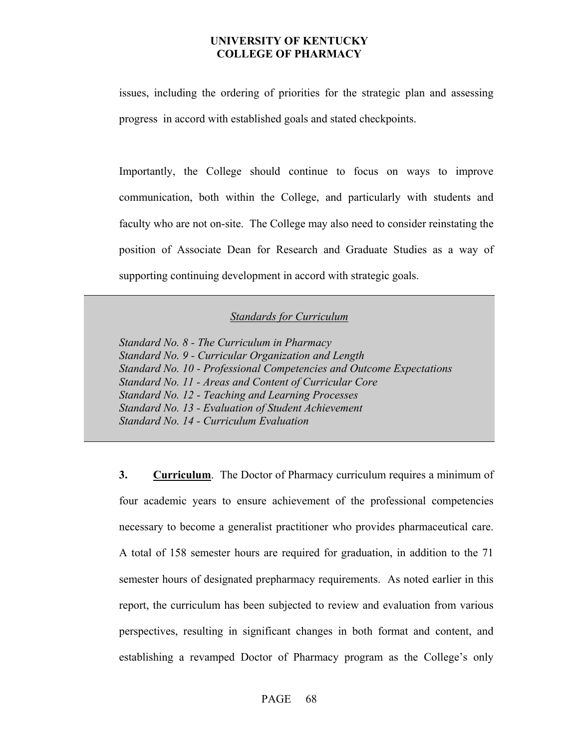issues, including the ordering of priorities for the strategic plan and assessing progress in accord with established goals and stated checkpoints.

Importantly, the College should continue to focus on ways to improve communication, both within the College, and particularly with students and faculty who are not on-site. The College may also need to consider reinstating the position of Associate Dean for Research and Graduate Studies as a way of supporting continuing development in accord with strategic goals.

#### *Standards for Curriculum*

 *Standard No. 8 - The Curriculum in Pharmacy Standard No. 9 - Curricular Organization and Length Standard No. 10 - Professional Competencies and Outcome Expectations Standard No. 11 - Areas and Content of Curricular Core Standard No. 12 - Teaching and Learning Processes Standard No. 13 - Evaluation of Student Achievement Standard No. 14 - Curriculum Evaluation* 

**3. Curriculum**. The Doctor of Pharmacy curriculum requires a minimum of four academic years to ensure achievement of the professional competencies necessary to become a generalist practitioner who provides pharmaceutical care. A total of 158 semester hours are required for graduation, in addition to the 71 semester hours of designated prepharmacy requirements. As noted earlier in this report, the curriculum has been subjected to review and evaluation from various perspectives, resulting in significant changes in both format and content, and establishing a revamped Doctor of Pharmacy program as the College's only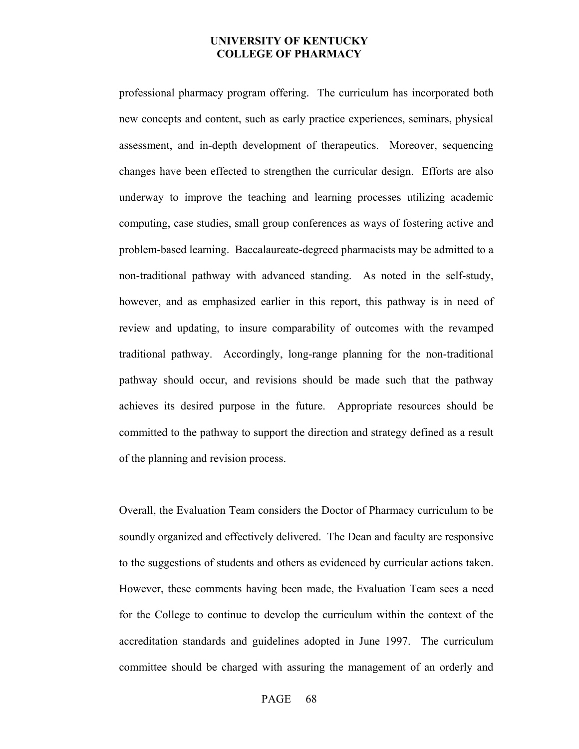professional pharmacy program offering. The curriculum has incorporated both new concepts and content, such as early practice experiences, seminars, physical assessment, and in-depth development of therapeutics. Moreover, sequencing changes have been effected to strengthen the curricular design. Efforts are also underway to improve the teaching and learning processes utilizing academic computing, case studies, small group conferences as ways of fostering active and problem-based learning. Baccalaureate-degreed pharmacists may be admitted to a non-traditional pathway with advanced standing. As noted in the self-study, however, and as emphasized earlier in this report, this pathway is in need of review and updating, to insure comparability of outcomes with the revamped traditional pathway. Accordingly, long-range planning for the non-traditional pathway should occur, and revisions should be made such that the pathway achieves its desired purpose in the future. Appropriate resources should be committed to the pathway to support the direction and strategy defined as a result of the planning and revision process.

 Overall, the Evaluation Team considers the Doctor of Pharmacy curriculum to be soundly organized and effectively delivered. The Dean and faculty are responsive to the suggestions of students and others as evidenced by curricular actions taken. However, these comments having been made, the Evaluation Team sees a need for the College to continue to develop the curriculum within the context of the accreditation standards and guidelines adopted in June 1997. The curriculum committee should be charged with assuring the management of an orderly and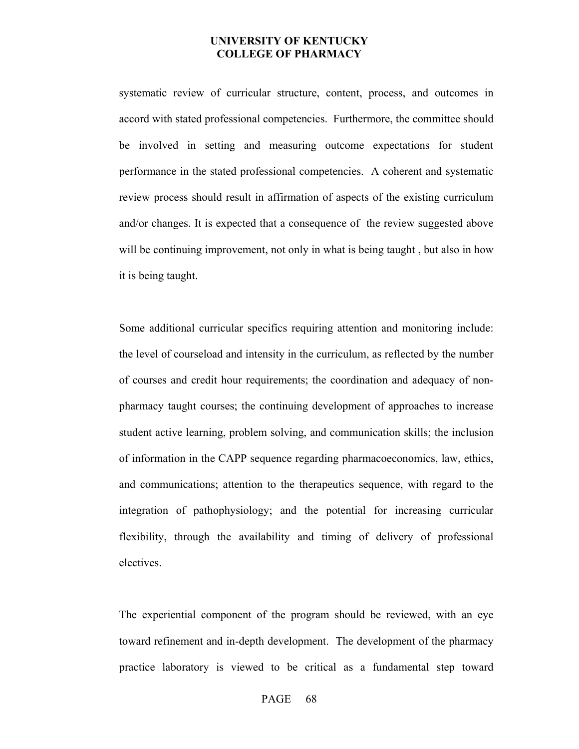systematic review of curricular structure, content, process, and outcomes in accord with stated professional competencies. Furthermore, the committee should be involved in setting and measuring outcome expectations for student performance in the stated professional competencies. A coherent and systematic review process should result in affirmation of aspects of the existing curriculum and/or changes. It is expected that a consequence of the review suggested above will be continuing improvement, not only in what is being taught, but also in how it is being taught.

Some additional curricular specifics requiring attention and monitoring include: the level of courseload and intensity in the curriculum, as reflected by the number of courses and credit hour requirements; the coordination and adequacy of nonpharmacy taught courses; the continuing development of approaches to increase student active learning, problem solving, and communication skills; the inclusion of information in the CAPP sequence regarding pharmacoeconomics, law, ethics, and communications; attention to the therapeutics sequence, with regard to the integration of pathophysiology; and the potential for increasing curricular flexibility, through the availability and timing of delivery of professional electives.

The experiential component of the program should be reviewed, with an eye toward refinement and in-depth development. The development of the pharmacy practice laboratory is viewed to be critical as a fundamental step toward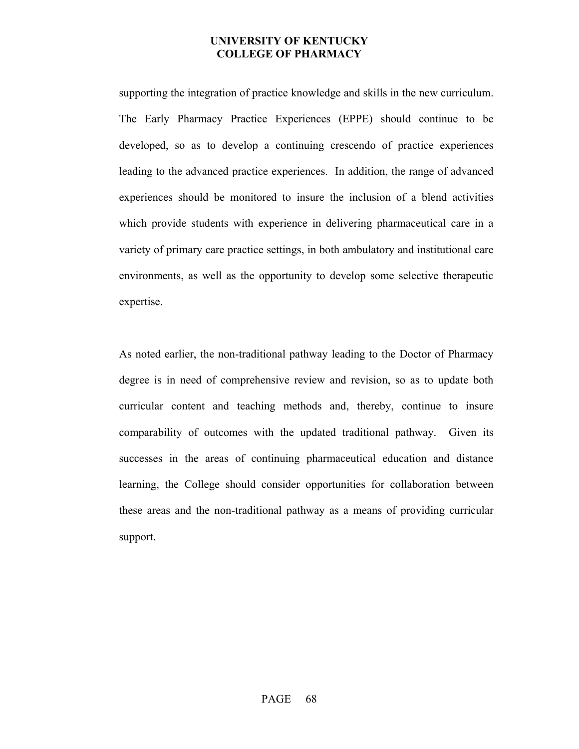supporting the integration of practice knowledge and skills in the new curriculum. The Early Pharmacy Practice Experiences (EPPE) should continue to be developed, so as to develop a continuing crescendo of practice experiences leading to the advanced practice experiences. In addition, the range of advanced experiences should be monitored to insure the inclusion of a blend activities which provide students with experience in delivering pharmaceutical care in a variety of primary care practice settings, in both ambulatory and institutional care environments, as well as the opportunity to develop some selective therapeutic expertise.

As noted earlier, the non-traditional pathway leading to the Doctor of Pharmacy degree is in need of comprehensive review and revision, so as to update both curricular content and teaching methods and, thereby, continue to insure comparability of outcomes with the updated traditional pathway. Given its successes in the areas of continuing pharmaceutical education and distance learning, the College should consider opportunities for collaboration between these areas and the non-traditional pathway as a means of providing curricular support.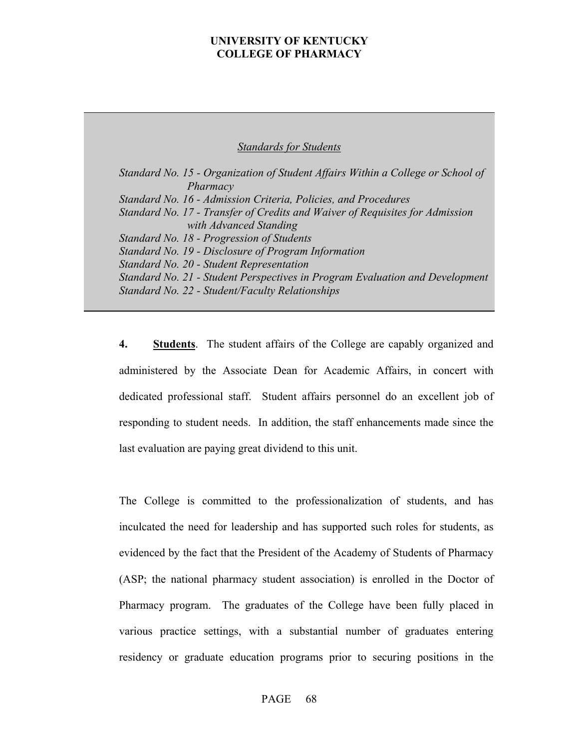#### *Standards for Students*

 *Standard No. 15 - Organization of Student Affairs Within a College or School of Pharmacy Standard No. 16 - Admission Criteria, Policies, and Procedures Standard No. 17 - Transfer of Credits and Waiver of Requisites for Admission with Advanced Standing Standard No. 18 - Progression of Students Standard No. 19 - Disclosure of Program Information Standard No. 20 - Student Representation Standard No. 21 - Student Perspectives in Program Evaluation and Development Standard No. 22 - Student/Faculty Relationships* 

**4. Students**. The student affairs of the College are capably organized and administered by the Associate Dean for Academic Affairs, in concert with dedicated professional staff. Student affairs personnel do an excellent job of responding to student needs. In addition, the staff enhancements made since the last evaluation are paying great dividend to this unit.

The College is committed to the professionalization of students, and has inculcated the need for leadership and has supported such roles for students, as evidenced by the fact that the President of the Academy of Students of Pharmacy (ASP; the national pharmacy student association) is enrolled in the Doctor of Pharmacy program. The graduates of the College have been fully placed in various practice settings, with a substantial number of graduates entering residency or graduate education programs prior to securing positions in the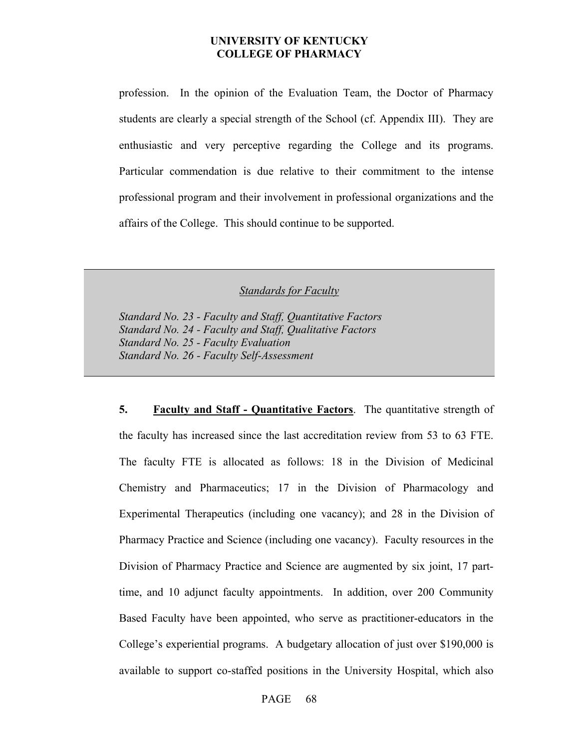profession. In the opinion of the Evaluation Team, the Doctor of Pharmacy students are clearly a special strength of the School (cf. Appendix III). They are enthusiastic and very perceptive regarding the College and its programs. Particular commendation is due relative to their commitment to the intense professional program and their involvement in professional organizations and the affairs of the College. This should continue to be supported.

*Standards for Faculty*

 *Standard No. 23 - Faculty and Staff, Quantitative Factors Standard No. 24 - Faculty and Staff, Qualitative Factors Standard No. 25 - Faculty Evaluation Standard No. 26 - Faculty Self-Assessment* 

**5. Faculty and Staff - Quantitative Factors**. The quantitative strength of the faculty has increased since the last accreditation review from 53 to 63 FTE. The faculty FTE is allocated as follows: 18 in the Division of Medicinal Chemistry and Pharmaceutics; 17 in the Division of Pharmacology and Experimental Therapeutics (including one vacancy); and 28 in the Division of Pharmacy Practice and Science (including one vacancy). Faculty resources in the Division of Pharmacy Practice and Science are augmented by six joint, 17 parttime, and 10 adjunct faculty appointments. In addition, over 200 Community Based Faculty have been appointed, who serve as practitioner-educators in the College's experiential programs. A budgetary allocation of just over \$190,000 is available to support co-staffed positions in the University Hospital, which also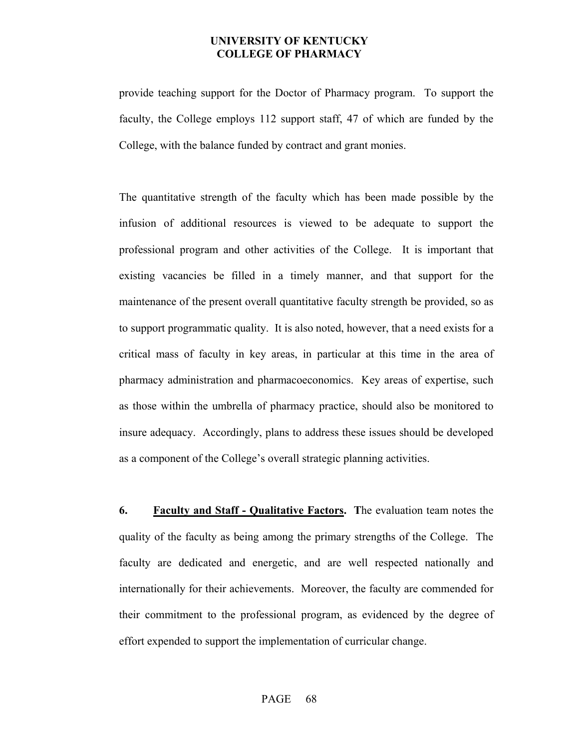provide teaching support for the Doctor of Pharmacy program. To support the faculty, the College employs 112 support staff, 47 of which are funded by the College, with the balance funded by contract and grant monies.

The quantitative strength of the faculty which has been made possible by the infusion of additional resources is viewed to be adequate to support the professional program and other activities of the College. It is important that existing vacancies be filled in a timely manner, and that support for the maintenance of the present overall quantitative faculty strength be provided, so as to support programmatic quality. It is also noted, however, that a need exists for a critical mass of faculty in key areas, in particular at this time in the area of pharmacy administration and pharmacoeconomics. Key areas of expertise, such as those within the umbrella of pharmacy practice, should also be monitored to insure adequacy. Accordingly, plans to address these issues should be developed as a component of the College's overall strategic planning activities.

**6. Faculty and Staff - Qualitative Factors. T**he evaluation team notes the quality of the faculty as being among the primary strengths of the College. The faculty are dedicated and energetic, and are well respected nationally and internationally for their achievements. Moreover, the faculty are commended for their commitment to the professional program, as evidenced by the degree of effort expended to support the implementation of curricular change.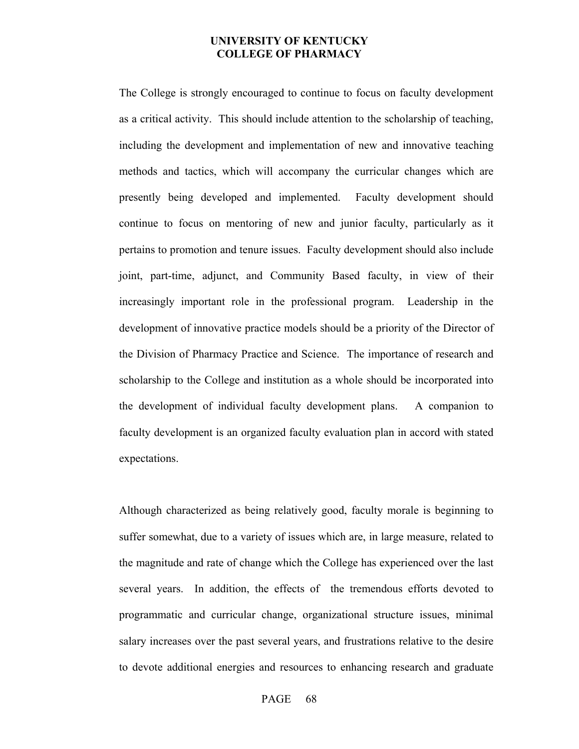The College is strongly encouraged to continue to focus on faculty development as a critical activity. This should include attention to the scholarship of teaching, including the development and implementation of new and innovative teaching methods and tactics, which will accompany the curricular changes which are presently being developed and implemented. Faculty development should continue to focus on mentoring of new and junior faculty, particularly as it pertains to promotion and tenure issues. Faculty development should also include joint, part-time, adjunct, and Community Based faculty, in view of their increasingly important role in the professional program. Leadership in the development of innovative practice models should be a priority of the Director of the Division of Pharmacy Practice and Science. The importance of research and scholarship to the College and institution as a whole should be incorporated into the development of individual faculty development plans. A companion to faculty development is an organized faculty evaluation plan in accord with stated expectations.

Although characterized as being relatively good, faculty morale is beginning to suffer somewhat, due to a variety of issues which are, in large measure, related to the magnitude and rate of change which the College has experienced over the last several years. In addition, the effects of the tremendous efforts devoted to programmatic and curricular change, organizational structure issues, minimal salary increases over the past several years, and frustrations relative to the desire to devote additional energies and resources to enhancing research and graduate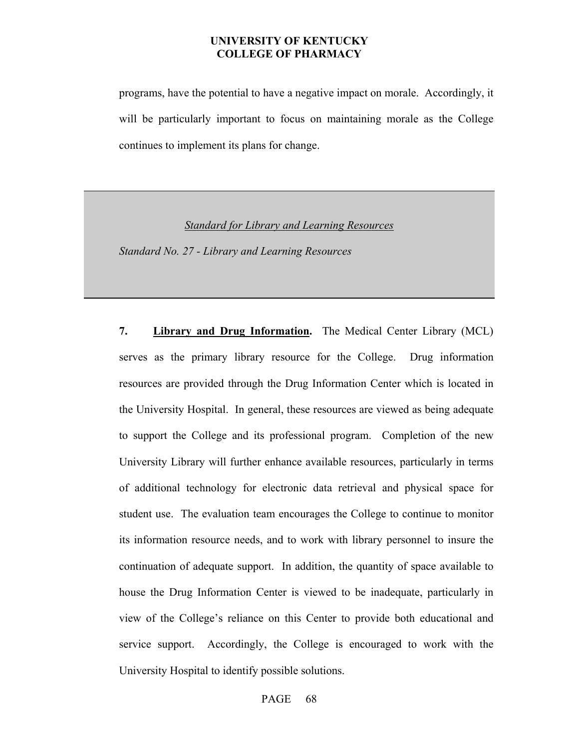programs, have the potential to have a negative impact on morale. Accordingly, it will be particularly important to focus on maintaining morale as the College continues to implement its plans for change.

*Standard for Library and Learning Resources*

 *Standard No. 27 - Library and Learning Resources* 

**7. Library and Drug Information.** The Medical Center Library (MCL) serves as the primary library resource for the College. Drug information resources are provided through the Drug Information Center which is located in the University Hospital. In general, these resources are viewed as being adequate to support the College and its professional program. Completion of the new University Library will further enhance available resources, particularly in terms of additional technology for electronic data retrieval and physical space for student use. The evaluation team encourages the College to continue to monitor its information resource needs, and to work with library personnel to insure the continuation of adequate support. In addition, the quantity of space available to house the Drug Information Center is viewed to be inadequate, particularly in view of the College's reliance on this Center to provide both educational and service support. Accordingly, the College is encouraged to work with the University Hospital to identify possible solutions.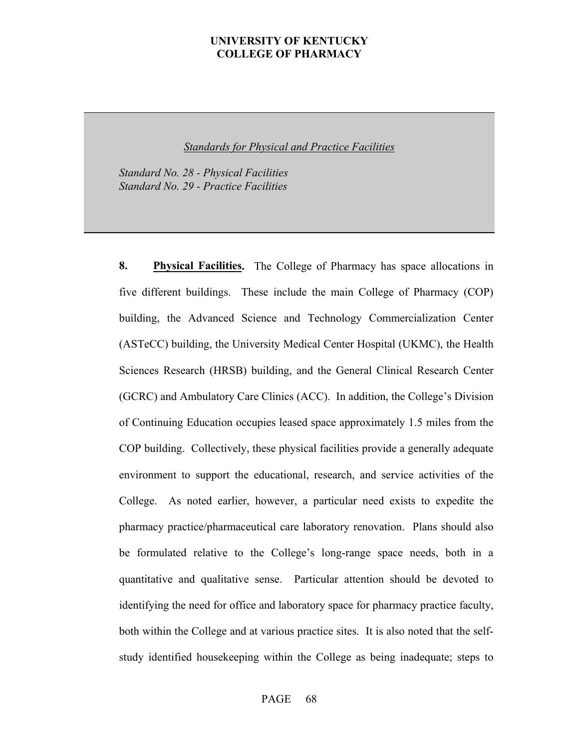*Standards for Physical and Practice Facilities*

 *Standard No. 28 - Physical Facilities Standard No. 29 - Practice Facilities* 

**8. Physical Facilities.** The College of Pharmacy has space allocations in five different buildings. These include the main College of Pharmacy (COP) building, the Advanced Science and Technology Commercialization Center (ASTeCC) building, the University Medical Center Hospital (UKMC), the Health Sciences Research (HRSB) building, and the General Clinical Research Center (GCRC) and Ambulatory Care Clinics (ACC). In addition, the College's Division of Continuing Education occupies leased space approximately 1.5 miles from the COP building. Collectively, these physical facilities provide a generally adequate environment to support the educational, research, and service activities of the College. As noted earlier, however, a particular need exists to expedite the pharmacy practice/pharmaceutical care laboratory renovation. Plans should also be formulated relative to the College's long-range space needs, both in a quantitative and qualitative sense. Particular attention should be devoted to identifying the need for office and laboratory space for pharmacy practice faculty, both within the College and at various practice sites. It is also noted that the selfstudy identified housekeeping within the College as being inadequate; steps to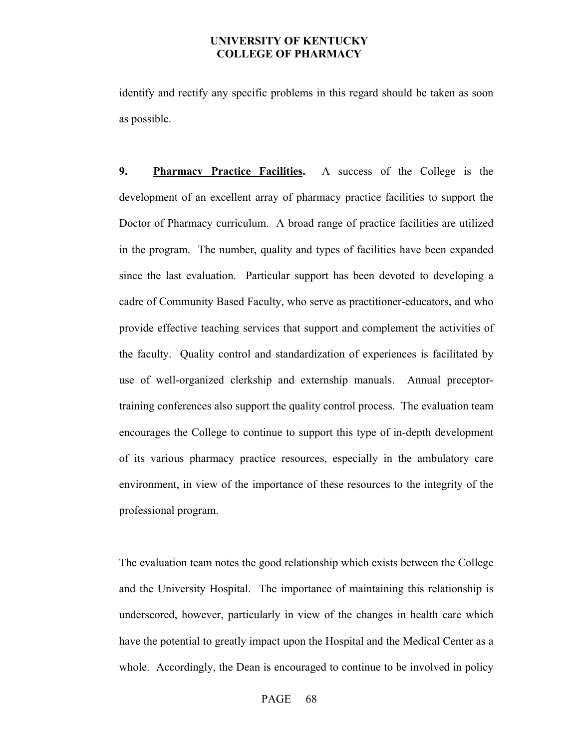identify and rectify any specific problems in this regard should be taken as soon as possible.

**9. Pharmacy Practice Facilities.** A success of the College is the development of an excellent array of pharmacy practice facilities to support the Doctor of Pharmacy curriculum. A broad range of practice facilities are utilized in the program. The number, quality and types of facilities have been expanded since the last evaluation. Particular support has been devoted to developing a cadre of Community Based Faculty, who serve as practitioner-educators, and who provide effective teaching services that support and complement the activities of the faculty. Quality control and standardization of experiences is facilitated by use of well-organized clerkship and externship manuals. Annual preceptortraining conferences also support the quality control process. The evaluation team encourages the College to continue to support this type of in-depth development of its various pharmacy practice resources, especially in the ambulatory care environment, in view of the importance of these resources to the integrity of the professional program.

The evaluation team notes the good relationship which exists between the College and the University Hospital. The importance of maintaining this relationship is underscored, however, particularly in view of the changes in health care which have the potential to greatly impact upon the Hospital and the Medical Center as a whole. Accordingly, the Dean is encouraged to continue to be involved in policy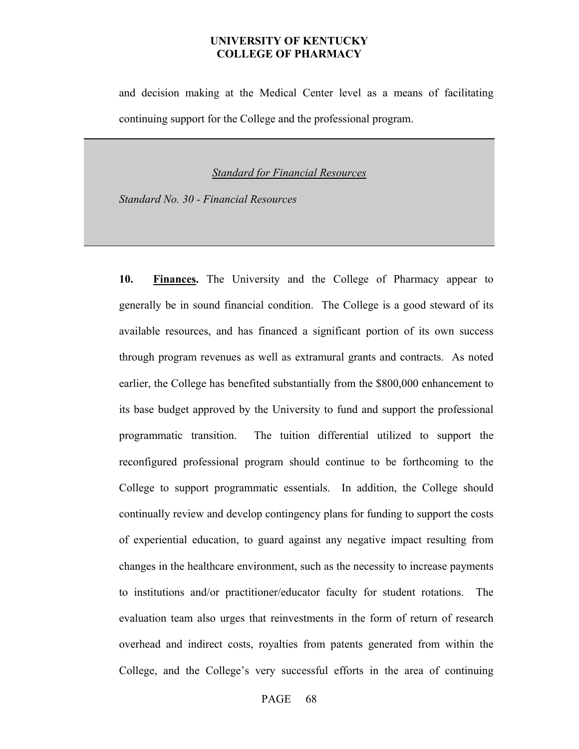and decision making at the Medical Center level as a means of facilitating continuing support for the College and the professional program.

*Standard for Financial Resources*

 *Standard No. 30 - Financial Resources*

**10. Finances.** The University and the College of Pharmacy appear to generally be in sound financial condition. The College is a good steward of its available resources, and has financed a significant portion of its own success through program revenues as well as extramural grants and contracts. As noted earlier, the College has benefited substantially from the \$800,000 enhancement to its base budget approved by the University to fund and support the professional programmatic transition. The tuition differential utilized to support the reconfigured professional program should continue to be forthcoming to the College to support programmatic essentials. In addition, the College should continually review and develop contingency plans for funding to support the costs of experiential education, to guard against any negative impact resulting from changes in the healthcare environment, such as the necessity to increase payments to institutions and/or practitioner/educator faculty for student rotations. The evaluation team also urges that reinvestments in the form of return of research overhead and indirect costs, royalties from patents generated from within the College, and the College's very successful efforts in the area of continuing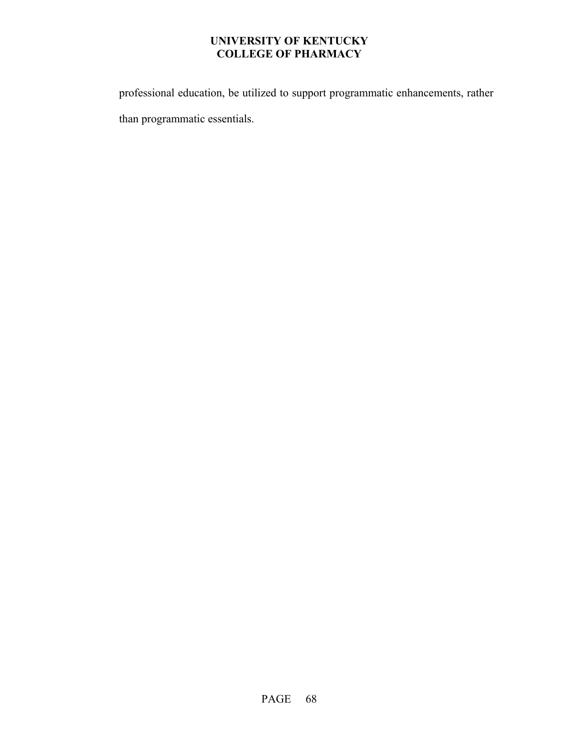professional education, be utilized to support programmatic enhancements, rather than programmatic essentials.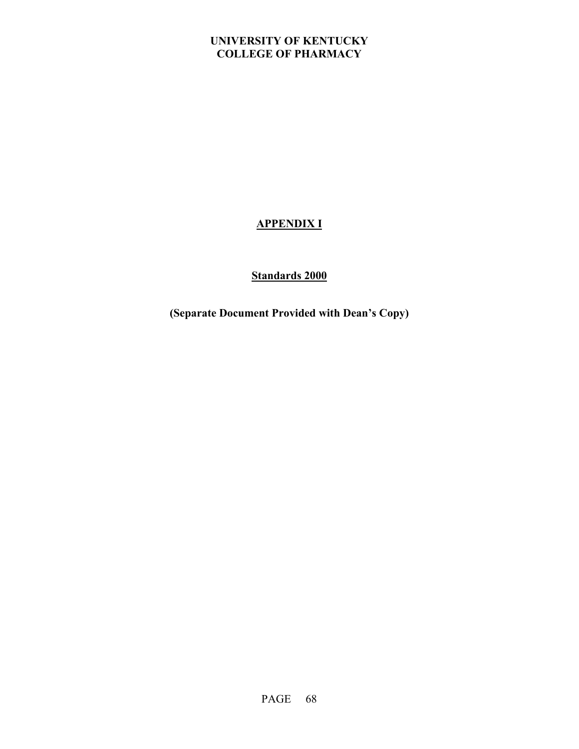# **APPENDIX I**

# **Standards 2000**

**(Separate Document Provided with Dean's Copy)**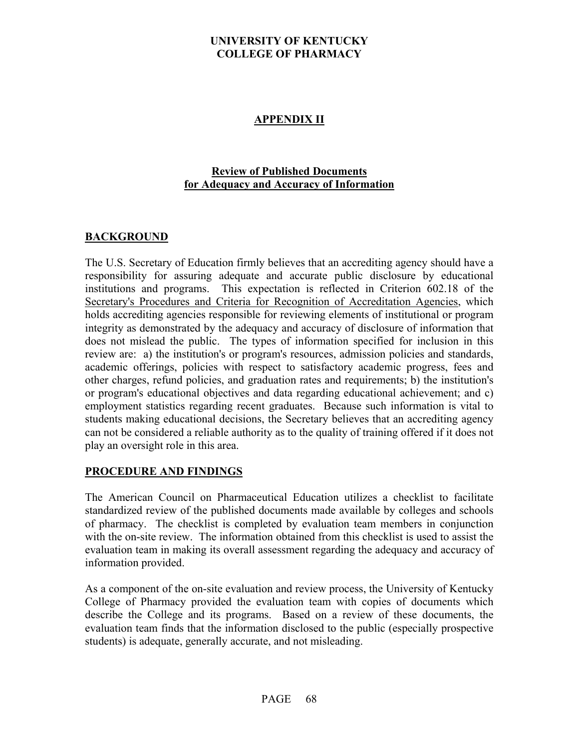#### **APPENDIX II**

#### **Review of Published Documents for Adequacy and Accuracy of Information**

#### **BACKGROUND**

The U.S. Secretary of Education firmly believes that an accrediting agency should have a responsibility for assuring adequate and accurate public disclosure by educational institutions and programs. This expectation is reflected in Criterion 602.18 of the Secretary's Procedures and Criteria for Recognition of Accreditation Agencies, which holds accrediting agencies responsible for reviewing elements of institutional or program integrity as demonstrated by the adequacy and accuracy of disclosure of information that does not mislead the public. The types of information specified for inclusion in this review are: a) the institution's or program's resources, admission policies and standards, academic offerings, policies with respect to satisfactory academic progress, fees and other charges, refund policies, and graduation rates and requirements; b) the institution's or program's educational objectives and data regarding educational achievement; and c) employment statistics regarding recent graduates. Because such information is vital to students making educational decisions, the Secretary believes that an accrediting agency can not be considered a reliable authority as to the quality of training offered if it does not play an oversight role in this area.

#### **PROCEDURE AND FINDINGS**

The American Council on Pharmaceutical Education utilizes a checklist to facilitate standardized review of the published documents made available by colleges and schools of pharmacy. The checklist is completed by evaluation team members in conjunction with the on-site review. The information obtained from this checklist is used to assist the evaluation team in making its overall assessment regarding the adequacy and accuracy of information provided.

As a component of the on-site evaluation and review process, the University of Kentucky College of Pharmacy provided the evaluation team with copies of documents which describe the College and its programs. Based on a review of these documents, the evaluation team finds that the information disclosed to the public (especially prospective students) is adequate, generally accurate, and not misleading.